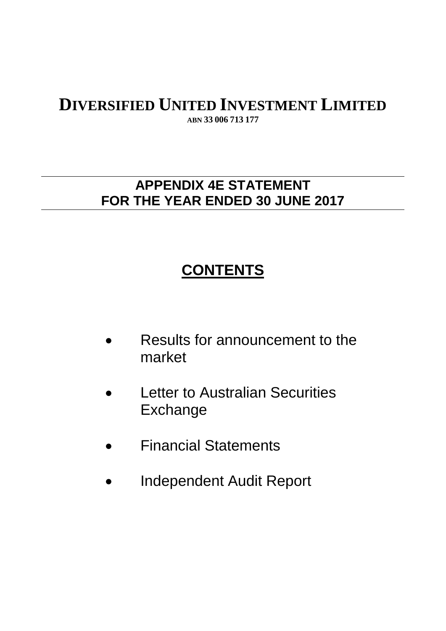**ABN 33 006 713 177**

# **APPENDIX 4E STATEMENT FOR THE YEAR ENDED 30 JUNE 2017**

# **CONTENTS**

- Results for announcement to the market
- **Letter to Australian Securities** Exchange
- Financial Statements
- Independent Audit Report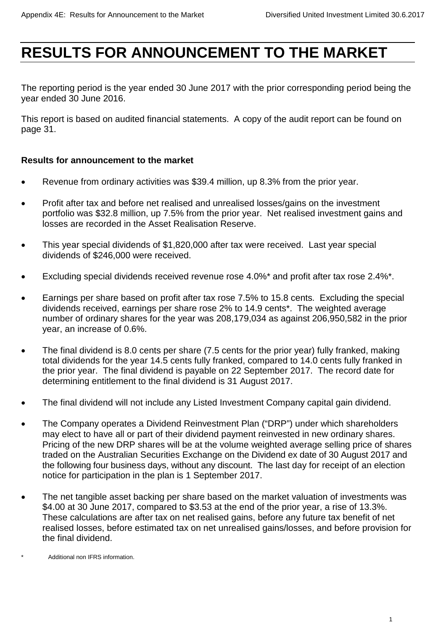# **RESULTS FOR ANNOUNCEMENT TO THE MARKET**

The reporting period is the year ended 30 June 2017 with the prior corresponding period being the year ended 30 June 2016.

This report is based on audited financial statements. A copy of the audit report can be found on page 31.

# **Results for announcement to the market**

- Revenue from ordinary activities was \$39.4 million, up 8.3% from the prior year.
- Profit after tax and before net realised and unrealised losses/gains on the investment portfolio was \$32.8 million, up 7.5% from the prior year. Net realised investment gains and losses are recorded in the Asset Realisation Reserve.
- This year special dividends of \$1,820,000 after tax were received. Last year special dividends of \$246,000 were received.
- Excluding special dividends received revenue rose 4.0%\* and profit after tax rose 2.4%\*.
- Earnings per share based on profit after tax rose 7.5% to 15.8 cents. Excluding the special dividends received, earnings per share rose 2% to 14.9 cents\*. The weighted average number of ordinary shares for the year was 208,179,034 as against 206,950,582 in the prior year, an increase of 0.6%.
- The final dividend is 8.0 cents per share (7.5 cents for the prior year) fully franked, making total dividends for the year 14.5 cents fully franked, compared to 14.0 cents fully franked in the prior year. The final dividend is payable on 22 September 2017. The record date for determining entitlement to the final dividend is 31 August 2017.
- The final dividend will not include any Listed Investment Company capital gain dividend.
- The Company operates a Dividend Reinvestment Plan ("DRP") under which shareholders may elect to have all or part of their dividend payment reinvested in new ordinary shares. Pricing of the new DRP shares will be at the volume weighted average selling price of shares traded on the Australian Securities Exchange on the Dividend ex date of 30 August 2017 and the following four business days, without any discount. The last day for receipt of an election notice for participation in the plan is 1 September 2017.
- The net tangible asset backing per share based on the market valuation of investments was \$4.00 at 30 June 2017, compared to \$3.53 at the end of the prior year, a rise of 13.3%. These calculations are after tax on net realised gains, before any future tax benefit of net realised losses, before estimated tax on net unrealised gains/losses, and before provision for the final dividend.

Additional non IFRS information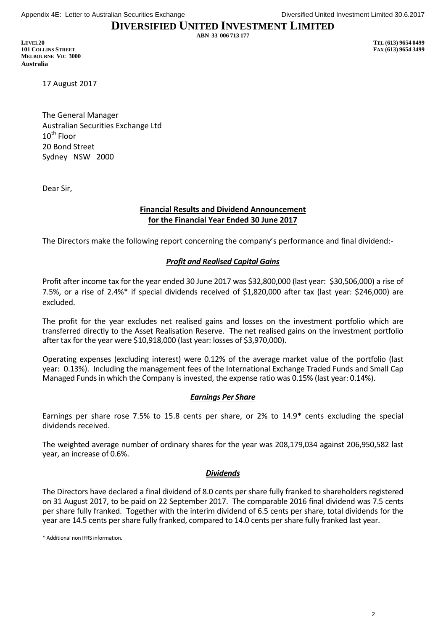**ABN 33 006 713 177**

**LEVEL20 TEL (613) 9654 0499 101 COLLINS STREET FAX (613) 9654 3499 MELBOURNE VIC 3000 Australia**

17 August 2017

The General Manager Australian Securities Exchange Ltd  $10^{th}$  Floor 20 Bond Street Sydney NSW 2000

Dear Sir,

#### **Financial Results and Dividend Announcement for the Financial Year Ended 30 June 2017**

The Directors make the following report concerning the company's performance and final dividend:-

#### *Profit and Realised Capital Gains*

Profit after income tax for the year ended 30 June 2017 was \$32,800,000 (last year: \$30,506,000) a rise of 7.5%, or a rise of 2.4%\* if special dividends received of \$1,820,000 after tax (last year: \$246,000) are excluded.

The profit for the year excludes net realised gains and losses on the investment portfolio which are transferred directly to the Asset Realisation Reserve. The net realised gains on the investment portfolio after tax for the year were \$10,918,000 (last year: losses of \$3,970,000).

Operating expenses (excluding interest) were 0.12% of the average market value of the portfolio (last year: 0.13%). Including the management fees of the International Exchange Traded Funds and Small Cap Managed Funds in which the Company is invested, the expense ratio was 0.15% (last year: 0.14%).

#### *Earnings Per Share*

Earnings per share rose 7.5% to 15.8 cents per share, or 2% to 14.9\* cents excluding the special dividends received.

The weighted average number of ordinary shares for the year was 208,179,034 against 206,950,582 last year, an increase of 0.6%.

#### *Dividends*

The Directors have declared a final dividend of 8.0 cents per share fully franked to shareholders registered on 31 August 2017, to be paid on 22 September 2017. The comparable 2016 final dividend was 7.5 cents per share fully franked. Together with the interim dividend of 6.5 cents per share, total dividends for the year are 14.5 cents per share fully franked, compared to 14.0 cents per share fully franked last year.

\* Additional non IFRS information.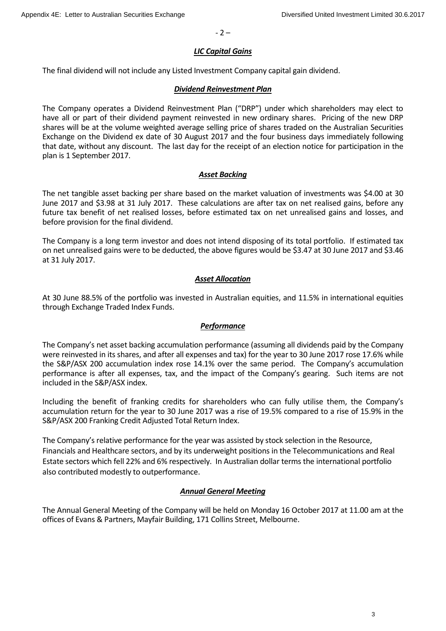$-2 -$ 

#### *LIC Capital Gains*

The final dividend will not include any Listed Investment Company capital gain dividend.

#### *Dividend Reinvestment Plan*

The Company operates a Dividend Reinvestment Plan ("DRP") under which shareholders may elect to have all or part of their dividend payment reinvested in new ordinary shares. Pricing of the new DRP shares will be at the volume weighted average selling price of shares traded on the Australian Securities Exchange on the Dividend ex date of 30 August 2017 and the four business days immediately following that date, without any discount. The last day for the receipt of an election notice for participation in the plan is 1 September 2017.

#### *Asset Backing*

The net tangible asset backing per share based on the market valuation of investments was \$4.00 at 30 June 2017 and \$3.98 at 31 July 2017. These calculations are after tax on net realised gains, before any future tax benefit of net realised losses, before estimated tax on net unrealised gains and losses, and before provision for the final dividend.

The Company is a long term investor and does not intend disposing of its total portfolio. If estimated tax on net unrealised gains were to be deducted, the above figures would be \$3.47 at 30 June 2017 and \$3.46 at 31 July 2017.

#### *Asset Allocation*

At 30 June 88.5% of the portfolio was invested in Australian equities, and 11.5% in international equities through Exchange Traded Index Funds.

#### *Performance*

The Company's net asset backing accumulation performance (assuming all dividends paid by the Company were reinvested in its shares, and after all expenses and tax) for the year to 30 June 2017 rose 17.6% while the S&P/ASX 200 accumulation index rose 14.1% over the same period. The Company's accumulation performance is after all expenses, tax, and the impact of the Company's gearing. Such items are not included in the S&P/ASX index.

Including the benefit of franking credits for shareholders who can fully utilise them, the Company's accumulation return for the year to 30 June 2017 was a rise of 19.5% compared to a rise of 15.9% in the S&P/ASX 200 Franking Credit Adjusted Total Return Index.

The Company's relative performance for the year was assisted by stock selection in the Resource, Financials and Healthcare sectors, and by its underweight positions in the Telecommunications and Real Estate sectors which fell 22% and 6% respectively. In Australian dollar terms the international portfolio also contributed modestly to outperformance.

#### *Annual General Meeting*

The Annual General Meeting of the Company will be held on Monday 16 October 2017 at 11.00 am at the offices of Evans & Partners, Mayfair Building, 171 Collins Street, Melbourne.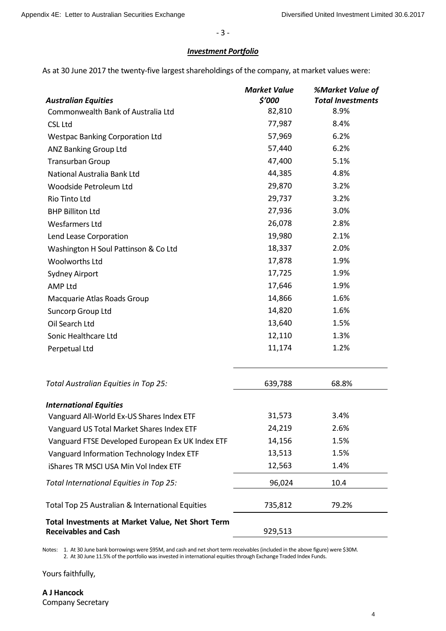- 3 -

#### *Investment Portfolio*

As at 30 June 2017 the twenty-five largest shareholdings of the company, at market values were:

| <b>Australian Equities</b>                        | <b>Market Value</b><br>\$'000 | <b>%Market Value of</b><br><b>Total Investments</b> |
|---------------------------------------------------|-------------------------------|-----------------------------------------------------|
| Commonwealth Bank of Australia Ltd                | 82,810                        | 8.9%                                                |
| <b>CSL Ltd</b>                                    | 77,987                        | 8.4%                                                |
| <b>Westpac Banking Corporation Ltd</b>            | 57,969                        | 6.2%                                                |
| <b>ANZ Banking Group Ltd</b>                      | 57,440                        | 6.2%                                                |
| <b>Transurban Group</b>                           | 47,400                        | 5.1%                                                |
| National Australia Bank Ltd                       | 44,385                        | 4.8%                                                |
| Woodside Petroleum Ltd                            | 29,870                        | 3.2%                                                |
| Rio Tinto Ltd                                     | 29,737                        | 3.2%                                                |
| <b>BHP Billiton Ltd</b>                           | 27,936                        | 3.0%                                                |
| <b>Wesfarmers Ltd</b>                             | 26,078                        | 2.8%                                                |
| Lend Lease Corporation                            | 19,980                        | 2.1%                                                |
| Washington H Soul Pattinson & Co Ltd              | 18,337                        | 2.0%                                                |
| Woolworths Ltd                                    | 17,878                        | 1.9%                                                |
| <b>Sydney Airport</b>                             | 17,725                        | 1.9%                                                |
| <b>AMP Ltd</b>                                    | 17,646                        | 1.9%                                                |
| Macquarie Atlas Roads Group                       | 14,866                        | 1.6%                                                |
| Suncorp Group Ltd                                 | 14,820                        | 1.6%                                                |
| Oil Search Ltd                                    | 13,640                        | 1.5%                                                |
| Sonic Healthcare Ltd                              | 12,110                        | 1.3%                                                |
| Perpetual Ltd                                     | 11,174                        | 1.2%                                                |
| Total Australian Equities in Top 25:              | 639,788                       | 68.8%                                               |
| <b>International Equities</b>                     |                               |                                                     |
| Vanguard All-World Ex-US Shares Index ETF         | 31,573                        | 3.4%                                                |
| Vanguard US Total Market Shares Index ETF         | 24,219                        | 2.6%                                                |
| Vanguard FTSE Developed European Ex UK Index ETF  | 14,156                        | 1.5%                                                |
| Vanguard Information Technology Index ETF         | 13,513                        | 1.5%                                                |
| iShares TR MSCI USA Min Vol Index ETF             | 12,563                        | 1.4%                                                |
| Total International Equities in Top 25:           | 96,024                        | 10.4                                                |
| Total Top 25 Australian & International Equities  | 735,812                       | 79.2%                                               |
| Total Investments at Market Value, Net Short Term |                               |                                                     |

**Receivables and Cash** 929,513

Notes: 1. At 30 June bank borrowings were \$95M, and cash and net short term receivables (included in the above figure) were \$30M. 2. At 30 June 11.5% of the portfolio was invested in international equities through Exchange Traded Index Funds.

Yours faithfully,

**A J Hancock** Company Secretary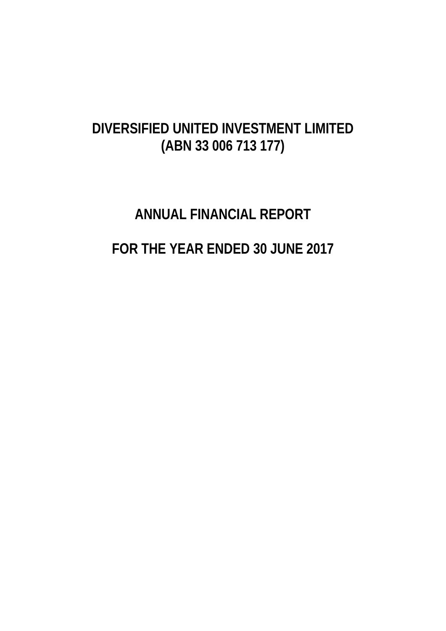# **DIVERSIFIED UNITED INVESTMENT LIMITED (ABN 33 006 713 177)**

# **ANNUAL FINANCIAL REPORT FOR THE YEAR ENDED 30 JUNE 2017**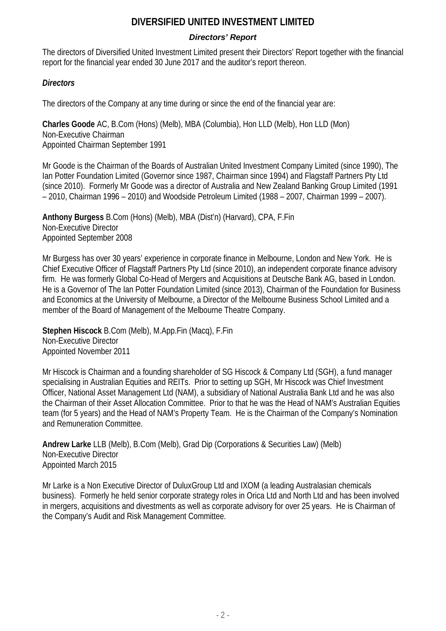# *Directors' Report*

The directors of Diversified United Investment Limited present their Directors' Report together with the financial report for the financial year ended 30 June 2017 and the auditor's report thereon.

# *Directors*

The directors of the Company at any time during or since the end of the financial year are:

**Charles Goode** AC, B.Com (Hons) (Melb), MBA (Columbia), Hon LLD (Melb), Hon LLD (Mon) Non-Executive Chairman Appointed Chairman September 1991

Mr Goode is the Chairman of the Boards of Australian United Investment Company Limited (since 1990), The Ian Potter Foundation Limited (Governor since 1987, Chairman since 1994) and Flagstaff Partners Pty Ltd (since 2010). Formerly Mr Goode was a director of Australia and New Zealand Banking Group Limited (1991 – 2010, Chairman 1996 – 2010) and Woodside Petroleum Limited (1988 – 2007, Chairman 1999 – 2007).

**Anthony Burgess** B.Com (Hons) (Melb), MBA (Dist'n) (Harvard), CPA, F.Fin Non-Executive Director Appointed September 2008

Mr Burgess has over 30 years' experience in corporate finance in Melbourne, London and New York. He is Chief Executive Officer of Flagstaff Partners Pty Ltd (since 2010), an independent corporate finance advisory firm. He was formerly Global Co-Head of Mergers and Acquisitions at Deutsche Bank AG, based in London. He is a Governor of The Ian Potter Foundation Limited (since 2013), Chairman of the Foundation for Business and Economics at the University of Melbourne, a Director of the Melbourne Business School Limited and a member of the Board of Management of the Melbourne Theatre Company.

**Stephen Hiscock** B.Com (Melb), M.App.Fin (Macq), F.Fin Non-Executive Director Appointed November 2011

Mr Hiscock is Chairman and a founding shareholder of SG Hiscock & Company Ltd (SGH), a fund manager specialising in Australian Equities and REITs. Prior to setting up SGH, Mr Hiscock was Chief Investment Officer, National Asset Management Ltd (NAM), a subsidiary of National Australia Bank Ltd and he was also the Chairman of their Asset Allocation Committee. Prior to that he was the Head of NAM's Australian Equities team (for 5 years) and the Head of NAM's Property Team. He is the Chairman of the Company's Nomination and Remuneration Committee.

**Andrew Larke** LLB (Melb), B.Com (Melb), Grad Dip (Corporations & Securities Law) (Melb) Non-Executive Director Appointed March 2015

Mr Larke is a Non Executive Director of DuluxGroup Ltd and IXOM (a leading Australasian chemicals business). Formerly he held senior corporate strategy roles in Orica Ltd and North Ltd and has been involved in mergers, acquisitions and divestments as well as corporate advisory for over 25 years. He is Chairman of the Company's Audit and Risk Management Committee.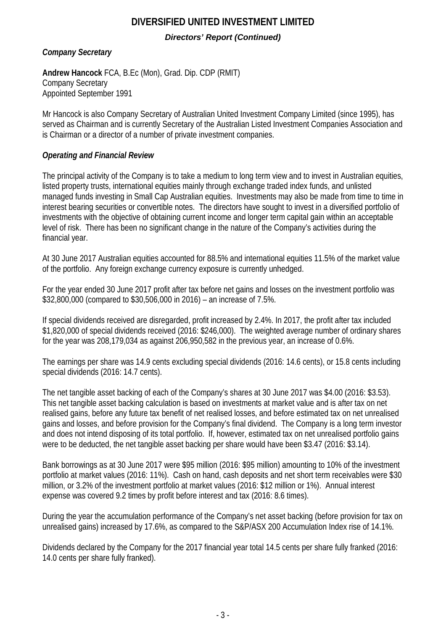# **DIVERSIFIED UNITED INVESTMENT LIMITED** *Directors' Report (Continued)*

*Company Secretary*

**Andrew Hancock** FCA, B.Ec (Mon), Grad. Dip. CDP (RMIT) Company Secretary Appointed September 1991

Mr Hancock is also Company Secretary of Australian United Investment Company Limited (since 1995), has served as Chairman and is currently Secretary of the Australian Listed Investment Companies Association and is Chairman or a director of a number of private investment companies.

# *Operating and Financial Review*

The principal activity of the Company is to take a medium to long term view and to invest in Australian equities, listed property trusts, international equities mainly through exchange traded index funds, and unlisted managed funds investing in Small Cap Australian equities. Investments may also be made from time to time in interest bearing securities or convertible notes. The directors have sought to invest in a diversified portfolio of investments with the objective of obtaining current income and longer term capital gain within an acceptable level of risk. There has been no significant change in the nature of the Company's activities during the financial year.

At 30 June 2017 Australian equities accounted for 88.5% and international equities 11.5% of the market value of the portfolio. Any foreign exchange currency exposure is currently unhedged.

For the year ended 30 June 2017 profit after tax before net gains and losses on the investment portfolio was \$32,800,000 (compared to \$30,506,000 in 2016) – an increase of 7.5%.

If special dividends received are disregarded, profit increased by 2.4%. In 2017, the profit after tax included \$1,820,000 of special dividends received (2016: \$246,000). The weighted average number of ordinary shares for the year was 208,179,034 as against 206,950,582 in the previous year, an increase of 0.6%.

The earnings per share was 14.9 cents excluding special dividends (2016: 14.6 cents), or 15.8 cents including special dividends (2016: 14.7 cents).

The net tangible asset backing of each of the Company's shares at 30 June 2017 was \$4.00 (2016: \$3.53). This net tangible asset backing calculation is based on investments at market value and is after tax on net realised gains, before any future tax benefit of net realised losses, and before estimated tax on net unrealised gains and losses, and before provision for the Company's final dividend. The Company is a long term investor and does not intend disposing of its total portfolio. If, however, estimated tax on net unrealised portfolio gains were to be deducted, the net tangible asset backing per share would have been \$3.47 (2016: \$3.14).

Bank borrowings as at 30 June 2017 were \$95 million (2016: \$95 million) amounting to 10% of the investment portfolio at market values (2016: 11%). Cash on hand, cash deposits and net short term receivables were \$30 million, or 3.2% of the investment portfolio at market values (2016: \$12 million or 1%). Annual interest expense was covered 9.2 times by profit before interest and tax (2016: 8.6 times).

During the year the accumulation performance of the Company's net asset backing (before provision for tax on unrealised gains) increased by 17.6%, as compared to the S&P/ASX 200 Accumulation Index rise of 14.1%.

Dividends declared by the Company for the 2017 financial year total 14.5 cents per share fully franked (2016: 14.0 cents per share fully franked).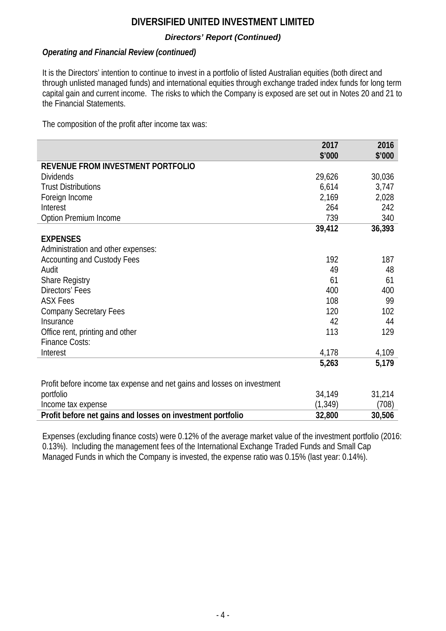# *Directors' Report (Continued)*

# *Operating and Financial Review (continued)*

It is the Directors' intention to continue to invest in a portfolio of listed Australian equities (both direct and through unlisted managed funds) and international equities through exchange traded index funds for long term capital gain and current income. The risks to which the Company is exposed are set out in Notes 20 and 21 to the Financial Statements.

The composition of the profit after income tax was:

|                                                                         | 2017     | 2016   |
|-------------------------------------------------------------------------|----------|--------|
|                                                                         | \$'000   | \$'000 |
| REVENUE FROM INVESTMENT PORTFOLIO                                       |          |        |
| <b>Dividends</b>                                                        | 29,626   | 30,036 |
| <b>Trust Distributions</b>                                              | 6,614    | 3,747  |
| Foreign Income                                                          | 2,169    | 2,028  |
| Interest                                                                | 264      | 242    |
| Option Premium Income                                                   | 739      | 340    |
|                                                                         | 39,412   | 36,393 |
| <b>EXPENSES</b>                                                         |          |        |
| Administration and other expenses:                                      |          |        |
| <b>Accounting and Custody Fees</b>                                      | 192      | 187    |
| Audit                                                                   | 49       | 48     |
| <b>Share Registry</b>                                                   | 61       | 61     |
| Directors' Fees                                                         | 400      | 400    |
| <b>ASX Fees</b>                                                         | 108      | 99     |
| <b>Company Secretary Fees</b>                                           | 120      | 102    |
| Insurance                                                               | 42       | 44     |
| Office rent, printing and other                                         | 113      | 129    |
| <b>Finance Costs:</b>                                                   |          |        |
| Interest                                                                | 4,178    | 4,109  |
|                                                                         | 5,263    | 5,179  |
|                                                                         |          |        |
| Profit before income tax expense and net gains and losses on investment |          |        |
| portfolio                                                               | 34,149   | 31,214 |
| Income tax expense                                                      | (1, 349) | (708)  |
| Profit before net gains and losses on investment portfolio              | 32,800   | 30,506 |

Expenses (excluding finance costs) were 0.12% of the average market value of the investment portfolio (2016: 0.13%). Including the management fees of the International Exchange Traded Funds and Small Cap Managed Funds in which the Company is invested, the expense ratio was 0.15% (last year: 0.14%).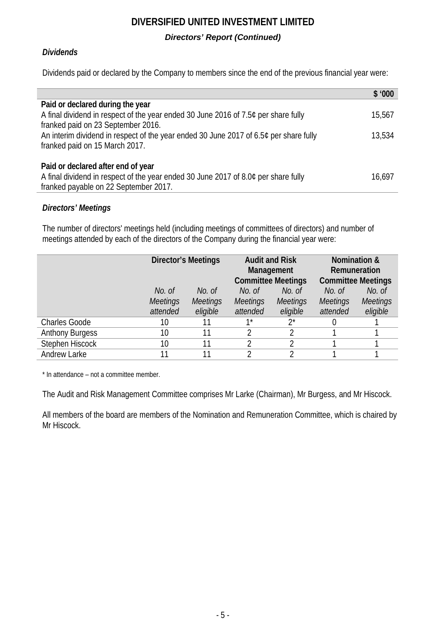# **DIVERSIFIED UNITED INVESTMENT LIMITED** *Directors' Report (Continued)*

# *Dividends*

Dividends paid or declared by the Company to members since the end of the previous financial year were:

|                                                                                       | \$ 1000 |
|---------------------------------------------------------------------------------------|---------|
| Paid or declared during the year                                                      |         |
| A final dividend in respect of the year ended 30 June 2016 of 7.5¢ per share fully    | 15,567  |
| franked paid on 23 September 2016.                                                    |         |
| An interim dividend in respect of the year ended 30 June 2017 of 6.5¢ per share fully | 13,534  |
| franked paid on 15 March 2017.                                                        |         |
|                                                                                       |         |
| Paid or declared after end of year                                                    |         |
| A final dividend in respect of the year ended 30 June 2017 of 8.0¢ per share fully    | 16,697  |
| franked payable on 22 September 2017.                                                 |         |

# *Directors' Meetings*

The number of directors' meetings held (including meetings of committees of directors) and number of meetings attended by each of the directors of the Company during the financial year were:

|                        | <b>Director's Meetings</b> |                 | <b>Audit and Risk</b><br>Management<br><b>Committee Meetings</b> |                 | <b>Nomination &amp;</b><br>Remuneration<br><b>Committee Meetings</b> |                 |
|------------------------|----------------------------|-----------------|------------------------------------------------------------------|-----------------|----------------------------------------------------------------------|-----------------|
|                        | No. of                     | No. of          | No. of                                                           | No. of          | No. of                                                               | No. of          |
|                        | <b>Meetings</b>            | <b>Meetings</b> | <b>Meetings</b>                                                  | <b>Meetings</b> | <b>Meetings</b>                                                      | <b>Meetings</b> |
|                        | attended                   | eligible        | attended                                                         | eligible        | attended                                                             | eligible        |
| <b>Charles Goode</b>   | 10                         |                 | $1*$                                                             | $2^*$           |                                                                      |                 |
| <b>Anthony Burgess</b> | 10                         |                 | 2                                                                |                 |                                                                      |                 |
| Stephen Hiscock        | 10                         |                 | 2                                                                |                 |                                                                      |                 |
| <b>Andrew Larke</b>    | 11                         |                 | C.                                                               | ↑               |                                                                      |                 |

\* In attendance – not a committee member.

The Audit and Risk Management Committee comprises Mr Larke (Chairman), Mr Burgess, and Mr Hiscock.

All members of the board are members of the Nomination and Remuneration Committee, which is chaired by Mr Hiscock.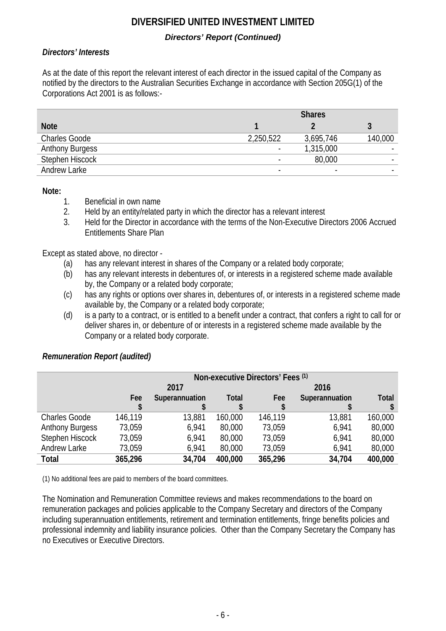# *Directors' Report (Continued)*

# *Directors' Interests*

As at the date of this report the relevant interest of each director in the issued capital of the Company as notified by the directors to the Australian Securities Exchange in accordance with Section 205G(1) of the Corporations Act 2001 is as follows:-

|                        |           | <b>Shares</b> |                          |
|------------------------|-----------|---------------|--------------------------|
| <b>Note</b>            |           |               |                          |
| <b>Charles Goode</b>   | 2,250,522 | 3,695,746     | 140,000                  |
| <b>Anthony Burgess</b> |           | 1,315,000     | ۰                        |
| Stephen Hiscock        |           | 80,000        | $\overline{\phantom{a}}$ |
| Andrew Larke           |           |               |                          |

**Note:**

- 1. Beneficial in own name<br>2. Held by an entity/related
- 2. Held by an entity/related party in which the director has a relevant interest
- 3. Held for the Director in accordance with the terms of the Non-Executive Directors 2006 Accrued Entitlements Share Plan

Except as stated above, no director -

- (a) has any relevant interest in shares of the Company or a related body corporate;
- (b) has any relevant interests in debentures of, or interests in a registered scheme made available by, the Company or a related body corporate;
- (c) has any rights or options over shares in, debentures of, or interests in a registered scheme made available by, the Company or a related body corporate;
- (d) is a party to a contract, or is entitled to a benefit under a contract, that confers a right to call for or deliver shares in, or debenture of or interests in a registered scheme made available by the Company or a related body corporate.

|                        |         |                |              | Non-executive Directors' Fees (1) |                |              |
|------------------------|---------|----------------|--------------|-----------------------------------|----------------|--------------|
|                        |         | 2017           |              |                                   | 2016           |              |
|                        | Fee     | Superannuation | <b>Total</b> | Fee                               | Superannuation | <b>Total</b> |
|                        |         |                |              |                                   |                |              |
| <b>Charles Goode</b>   | 146,119 | 13,881         | 160,000      | 146,119                           | 13,881         | 160,000      |
| <b>Anthony Burgess</b> | 73,059  | 6,941          | 80,000       | 73,059                            | 6,941          | 80,000       |
| Stephen Hiscock        | 73,059  | 6,941          | 80,000       | 73,059                            | 6,941          | 80,000       |
| Andrew Larke           | 73,059  | 6,941          | 80,000       | 73,059                            | 6,941          | 80,000       |
| Total                  | 365,296 | 34,704         | 400,000      | 365,296                           | 34,704         | 400,000      |

# *Remuneration Report (audited)*

(1) No additional fees are paid to members of the board committees.

The Nomination and Remuneration Committee reviews and makes recommendations to the board on remuneration packages and policies applicable to the Company Secretary and directors of the Company including superannuation entitlements, retirement and termination entitlements, fringe benefits policies and professional indemnity and liability insurance policies. Other than the Company Secretary the Company has no Executives or Executive Directors.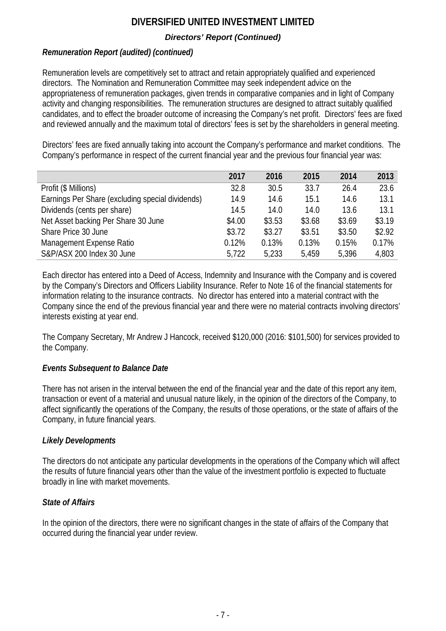# *Directors' Report (Continued)*

# *Remuneration Report (audited) (continued)*

Remuneration levels are competitively set to attract and retain appropriately qualified and experienced directors. The Nomination and Remuneration Committee may seek independent advice on the appropriateness of remuneration packages, given trends in comparative companies and in light of Company activity and changing responsibilities. The remuneration structures are designed to attract suitably qualified candidates, and to effect the broader outcome of increasing the Company's net profit. Directors' fees are fixed and reviewed annually and the maximum total of directors' fees is set by the shareholders in general meeting.

Directors' fees are fixed annually taking into account the Company's performance and market conditions. The Company's performance in respect of the current financial year and the previous four financial year was:

|                                                  | 2017   | 2016   | 2015   | 2014   | 2013   |
|--------------------------------------------------|--------|--------|--------|--------|--------|
| Profit (\$ Millions)                             | 32.8   | 30.5   | 33.7   | 26.4   | 23.6   |
| Earnings Per Share (excluding special dividends) | 14.9   | 14.6   | 15.1   | 14.6   | 13.1   |
| Dividends (cents per share)                      | 14.5   | 14.0   | 14.0   | 13.6   | 13.1   |
| Net Asset backing Per Share 30 June              | \$4.00 | \$3.53 | \$3.68 | \$3.69 | \$3.19 |
| Share Price 30 June                              | \$3.72 | \$3.27 | \$3.51 | \$3.50 | \$2.92 |
| Management Expense Ratio                         | 0.12%  | 0.13%  | 0.13%  | 0.15%  | 0.17%  |
| S&P/ASX 200 Index 30 June                        | 5,722  | 5,233  | 5.459  | 5,396  | 4,803  |

Each director has entered into a Deed of Access, Indemnity and Insurance with the Company and is covered by the Company's Directors and Officers Liability Insurance. Refer to Note 16 of the financial statements for information relating to the insurance contracts. No director has entered into a material contract with the Company since the end of the previous financial year and there were no material contracts involving directors' interests existing at year end.

The Company Secretary, Mr Andrew J Hancock, received \$120,000 (2016: \$101,500) for services provided to the Company.

# *Events Subsequent to Balance Date*

There has not arisen in the interval between the end of the financial year and the date of this report any item, transaction or event of a material and unusual nature likely, in the opinion of the directors of the Company, to affect significantly the operations of the Company, the results of those operations, or the state of affairs of the Company, in future financial years.

# *Likely Developments*

The directors do not anticipate any particular developments in the operations of the Company which will affect the results of future financial years other than the value of the investment portfolio is expected to fluctuate broadly in line with market movements.

# *State of Affairs*

In the opinion of the directors, there were no significant changes in the state of affairs of the Company that occurred during the financial year under review.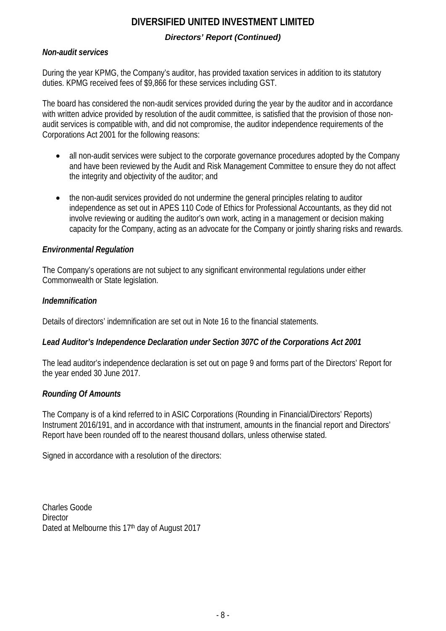# **DIVERSIFIED UNITED INVESTMENT LIMITED** *Directors' Report (Continued)*

# *Non-audit services*

During the year KPMG, the Company's auditor, has provided taxation services in addition to its statutory duties. KPMG received fees of \$9,866 for these services including GST.

The board has considered the non-audit services provided during the year by the auditor and in accordance with written advice provided by resolution of the audit committee, is satisfied that the provision of those nonaudit services is compatible with, and did not compromise, the auditor independence requirements of the Corporations Act 2001 for the following reasons:

- all non-audit services were subject to the corporate governance procedures adopted by the Company and have been reviewed by the Audit and Risk Management Committee to ensure they do not affect the integrity and objectivity of the auditor; and
- the non-audit services provided do not undermine the general principles relating to auditor independence as set out in APES 110 Code of Ethics for Professional Accountants, as they did not involve reviewing or auditing the auditor's own work, acting in a management or decision making capacity for the Company, acting as an advocate for the Company or jointly sharing risks and rewards.

# *Environmental Regulation*

The Company's operations are not subject to any significant environmental regulations under either Commonwealth or State legislation.

# *Indemnification*

Details of directors' indemnification are set out in Note 16 to the financial statements.

# *Lead Auditor's Independence Declaration under Section 307C of the Corporations Act 2001*

The lead auditor's independence declaration is set out on page 9 and forms part of the Directors' Report for the year ended 30 June 2017.

# *Rounding Of Amounts*

The Company is of a kind referred to in ASIC Corporations (Rounding in Financial/Directors' Reports) Instrument 2016/191, and in accordance with that instrument, amounts in the financial report and Directors' Report have been rounded off to the nearest thousand dollars, unless otherwise stated.

Signed in accordance with a resolution of the directors:

Charles Goode **Director** Dated at Melbourne this 17<sup>th</sup> day of August 2017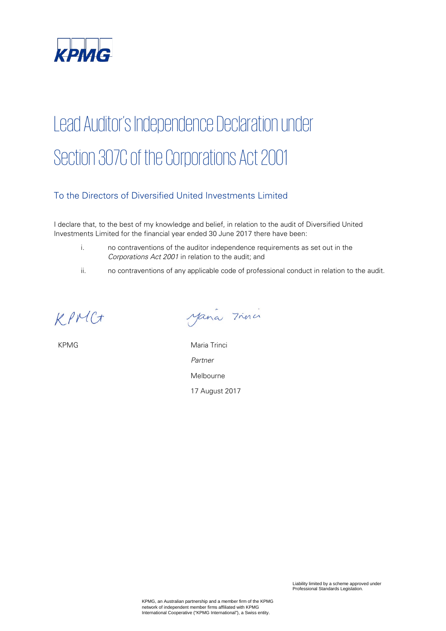

# Lead Auditor's Independence Declaration under Section 307C of the Corporations Act 2001

# To the Directors of Diversified United Investments Limited

I declare that, to the best of my knowledge and belief, in relation to the audit of Diversified United Investments Limited for the financial year ended 30 June 2017 there have been:

- i. no contraventions of the auditor independence requirements as set out in the Corporations Act 2001 in relation to the audit; and
- ii. no contraventions of any applicable code of professional conduct in relation to the audit.

KPMC+

Mana Trina

KPMG Maria Trinci Partner Melbourne 17 August 2017

Liability limited by a scheme approved under Professional Standards Legislation.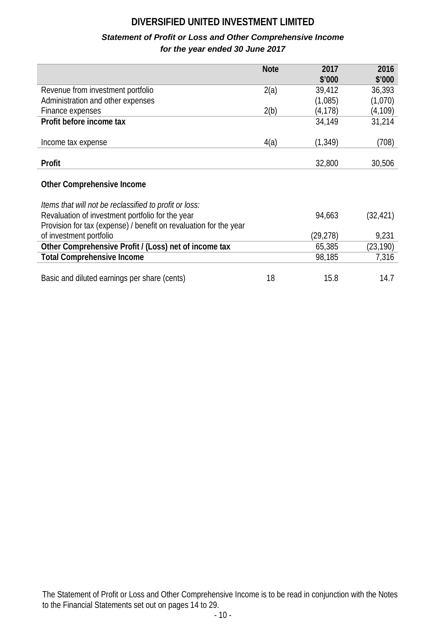# *Statement of Profit or Loss and Other Comprehensive Income for the year ended 30 June 2017*

|                                                                   | <b>Note</b> | 2017      | 2016      |
|-------------------------------------------------------------------|-------------|-----------|-----------|
|                                                                   |             | \$'000    | \$'000    |
| Revenue from investment portfolio                                 | 2(a)        | 39,412    | 36,393    |
| Administration and other expenses                                 |             | (1,085)   | (1,070)   |
| Finance expenses                                                  | 2(b)        | (4,178)   | (4, 109)  |
| Profit before income tax                                          |             | 34,149    | 31,214    |
|                                                                   |             |           |           |
| Income tax expense                                                | 4(a)        | (1, 349)  | (708)     |
|                                                                   |             |           |           |
| Profit                                                            |             | 32,800    | 30,506    |
|                                                                   |             |           |           |
| <b>Other Comprehensive Income</b>                                 |             |           |           |
| Items that will not be reclassified to profit or loss:            |             |           |           |
| Revaluation of investment portfolio for the year                  |             | 94,663    | (32, 421) |
| Provision for tax (expense) / benefit on revaluation for the year |             |           |           |
| of investment portfolio                                           |             | (29, 278) | 9,231     |
| Other Comprehensive Profit / (Loss) net of income tax             |             | 65,385    | (23, 190) |
| <b>Total Comprehensive Income</b>                                 |             | 98,185    | 7,316     |
|                                                                   |             |           |           |
| Basic and diluted earnings per share (cents)                      | 18          | 15.8      | 14.7      |

The Statement of Profit or Loss and Other Comprehensive Income is to be read in conjunction with the Notes to the Financial Statements set out on pages 14 to 29.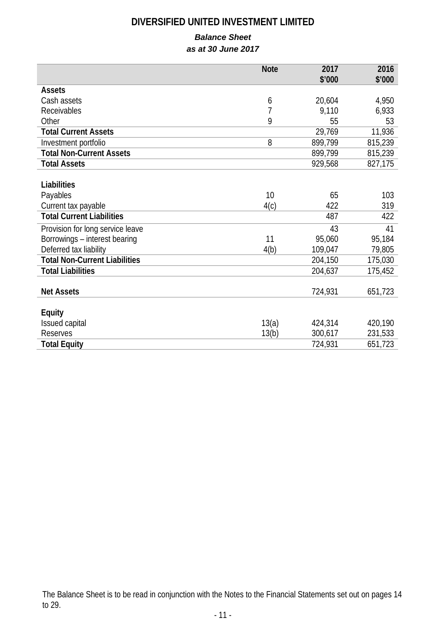# *Balance Sheet*

*as at 30 June 2017*

|                                      | <b>Note</b> | 2017    | 2016    |
|--------------------------------------|-------------|---------|---------|
|                                      |             | \$'000  | \$'000  |
| <b>Assets</b>                        |             |         |         |
| Cash assets                          | 6           | 20,604  | 4,950   |
| Receivables                          | 7           | 9,110   | 6,933   |
| Other                                | 9           | 55      | 53      |
| <b>Total Current Assets</b>          |             | 29,769  | 11,936  |
| Investment portfolio                 | 8           | 899,799 | 815,239 |
| <b>Total Non-Current Assets</b>      |             | 899,799 | 815,239 |
| <b>Total Assets</b>                  |             | 929,568 | 827,175 |
|                                      |             |         |         |
| Liabilities                          |             |         |         |
| Payables                             | 10          | 65      | 103     |
| Current tax payable                  | 4(c)        | 422     | 319     |
| <b>Total Current Liabilities</b>     |             | 487     | 422     |
| Provision for long service leave     |             | 43      | 41      |
| Borrowings - interest bearing        | 11          | 95,060  | 95,184  |
| Deferred tax liability               | 4(b)        | 109,047 | 79,805  |
| <b>Total Non-Current Liabilities</b> |             | 204,150 | 175,030 |
| <b>Total Liabilities</b>             |             | 204,637 | 175,452 |
|                                      |             |         |         |
| <b>Net Assets</b>                    |             | 724,931 | 651,723 |
|                                      |             |         |         |
| <b>Equity</b>                        |             |         |         |
| Issued capital                       | 13(a)       | 424,314 | 420,190 |
| <b>Reserves</b>                      | 13(b)       | 300,617 | 231,533 |
| <b>Total Equity</b>                  |             | 724,931 | 651,723 |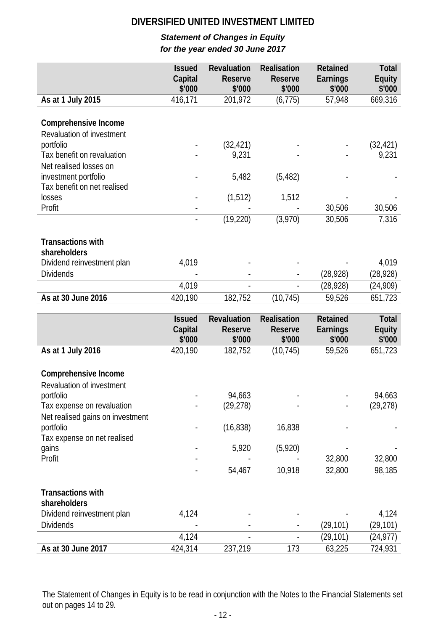# *Statement of Changes in Equity for the year ended 30 June 2017*

|                                                   | <b>Issued</b><br>Capital | Revaluation<br><b>Reserve</b> | Realisation<br><b>Reserve</b> | <b>Retained</b><br>Earnings | Total<br><b>Equity</b> |
|---------------------------------------------------|--------------------------|-------------------------------|-------------------------------|-----------------------------|------------------------|
|                                                   | \$'000                   | \$'000                        | \$'000                        | \$'000                      | \$'000                 |
| As at 1 July 2015                                 | 416,171                  | 201,972                       | (6, 775)                      | 57,948                      | 669,316                |
| Comprehensive Income<br>Revaluation of investment |                          |                               |                               |                             |                        |
| portfolio                                         |                          | (32, 421)                     |                               |                             | (32, 421)              |
| Tax benefit on revaluation                        |                          | 9,231                         |                               |                             | 9,231                  |
| Net realised losses on                            |                          |                               |                               |                             |                        |
| investment portfolio                              |                          | 5,482                         | (5, 482)                      |                             |                        |
| Tax benefit on net realised                       |                          |                               |                               |                             |                        |
| losses                                            |                          | (1, 512)                      | 1,512                         |                             |                        |
| Profit                                            |                          |                               |                               | 30,506                      | 30,506                 |
|                                                   | $\blacksquare$           | (19, 220)                     | (3,970)                       | 30,506                      | 7,316                  |
|                                                   |                          |                               |                               |                             |                        |
| <b>Transactions with</b><br>shareholders          |                          |                               |                               |                             |                        |
| Dividend reinvestment plan                        | 4,019                    |                               |                               |                             | 4,019                  |
| <b>Dividends</b>                                  |                          |                               |                               | (28, 928)                   | (28, 928)              |
|                                                   | 4,019                    |                               |                               | (28, 928)                   | (24,909)               |
| As at 30 June 2016                                | 420,190                  | 182,752                       | (10, 745)                     | 59,526                      | 651,723                |
|                                                   |                          |                               |                               |                             |                        |
|                                                   | <b>Issued</b>            | <b>Revaluation</b>            | <b>Realisation</b>            | <b>Retained</b>             | Total                  |
|                                                   | Capital                  | <b>Reserve</b>                | <b>Reserve</b>                | Earnings                    | <b>Equity</b>          |
|                                                   | \$'000                   | \$'000                        | \$'000                        | \$'000                      | \$'000                 |
| As at 1 July 2016                                 | 420,190                  | 182,752                       | (10, 745)                     | 59,526                      | 651,723                |
| Comprehensive Income<br>Revaluation of investment |                          |                               |                               |                             |                        |
| portfolio                                         |                          | 94,663                        |                               |                             | 94,663                 |
| Tax expense on revaluation                        |                          | (29, 278)                     |                               |                             | (29, 278)              |
| Net realised gains on investment                  |                          |                               |                               |                             |                        |
| portfolio                                         |                          | (16, 838)                     | 16,838                        |                             |                        |
| Tax expense on net realised                       |                          |                               |                               |                             |                        |
| gains                                             |                          | 5,920                         | (5,920)                       |                             |                        |
| Profit                                            |                          |                               |                               |                             |                        |
|                                                   |                          |                               |                               | 32,800                      | 32,800                 |
|                                                   |                          | 54,467                        | 10,918                        | 32,800                      | 98,185                 |
| <b>Transactions with</b><br>shareholders          |                          |                               |                               |                             |                        |
| Dividend reinvestment plan                        | 4,124                    |                               |                               |                             | 4,124                  |
| <b>Dividends</b>                                  |                          |                               |                               | (29, 101)                   | (29, 101)              |
|                                                   | 4,124                    |                               |                               | (29, 101)                   | (24, 977)              |

The Statement of Changes in Equity is to be read in conjunction with the Notes to the Financial Statements set out on pages 14 to 29.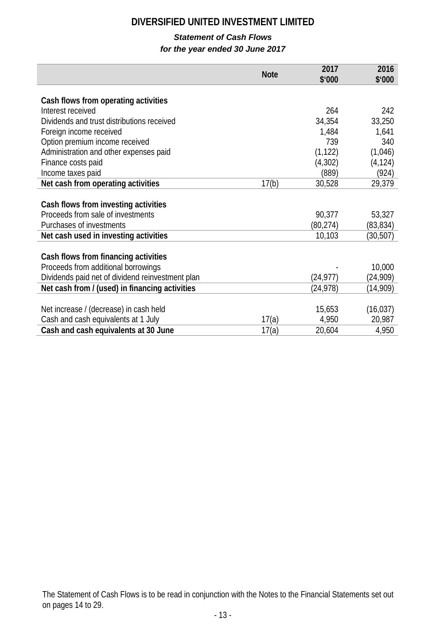# *Statement of Cash Flows*

# *for the year ended 30 June 2017*

|                                                  |             | 2017      | 2016      |
|--------------------------------------------------|-------------|-----------|-----------|
|                                                  | <b>Note</b> | \$'000    | \$'000    |
|                                                  |             |           |           |
| Cash flows from operating activities             |             |           |           |
| Interest received                                |             | 264       | 242       |
| Dividends and trust distributions received       |             | 34,354    | 33,250    |
| Foreign income received                          |             | 1,484     | 1,641     |
| Option premium income received                   |             | 739       | 340       |
| Administration and other expenses paid           |             | (1, 122)  | (1,046)   |
| Finance costs paid                               |             | (4, 302)  | (4, 124)  |
| Income taxes paid                                |             | (889)     | (924)     |
| Net cash from operating activities               | 17(b)       | 30,528    | 29,379    |
|                                                  |             |           |           |
| Cash flows from investing activities             |             |           |           |
| Proceeds from sale of investments                |             | 90,377    | 53,327    |
| Purchases of investments                         |             | (80, 274) | (83, 834) |
| Net cash used in investing activities            |             | 10,103    | (30, 507) |
|                                                  |             |           |           |
| Cash flows from financing activities             |             |           |           |
| Proceeds from additional borrowings              |             |           | 10,000    |
| Dividends paid net of dividend reinvestment plan |             | (24, 977) | (24, 909) |
| Net cash from / (used) in financing activities   |             | (24, 978) | (14,909)  |
|                                                  |             |           |           |
| Net increase / (decrease) in cash held           |             | 15,653    | (16, 037) |
| Cash and cash equivalents at 1 July              | 17(a)       | 4,950     | 20,987    |
| Cash and cash equivalents at 30 June             | 17(a)       | 20,604    | 4,950     |

The Statement of Cash Flows is to be read in conjunction with the Notes to the Financial Statements set out on pages 14 to 29.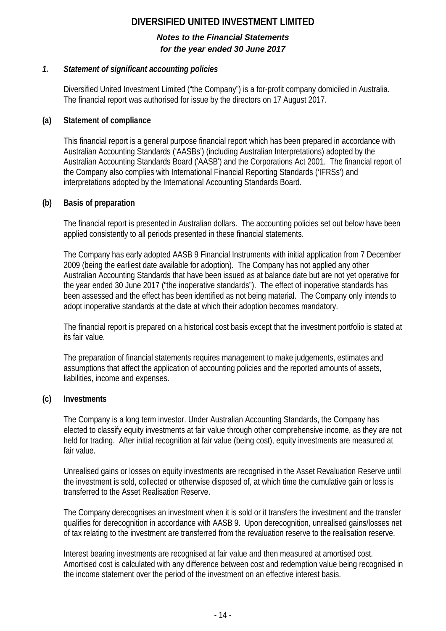## *Notes to the Financial Statements for the year ended 30 June 2017*

# *1. Statement of significant accounting policies*

Diversified United Investment Limited ("the Company") is a for-profit company domiciled in Australia. The financial report was authorised for issue by the directors on 17 August 2017.

# **(a) Statement of compliance**

This financial report is a general purpose financial report which has been prepared in accordance with Australian Accounting Standards ('AASBs') (including Australian Interpretations) adopted by the Australian Accounting Standards Board ('AASB') and the Corporations Act 2001. The financial report of the Company also complies with International Financial Reporting Standards ('IFRSs') and interpretations adopted by the International Accounting Standards Board.

# **(b) Basis of preparation**

The financial report is presented in Australian dollars. The accounting policies set out below have been applied consistently to all periods presented in these financial statements.

The Company has early adopted AASB 9 Financial Instruments with initial application from 7 December 2009 (being the earliest date available for adoption). The Company has not applied any other Australian Accounting Standards that have been issued as at balance date but are not yet operative for the year ended 30 June 2017 ("the inoperative standards"). The effect of inoperative standards has been assessed and the effect has been identified as not being material. The Company only intends to adopt inoperative standards at the date at which their adoption becomes mandatory.

The financial report is prepared on a historical cost basis except that the investment portfolio is stated at its fair value.

The preparation of financial statements requires management to make judgements, estimates and assumptions that affect the application of accounting policies and the reported amounts of assets, liabilities, income and expenses.

# **(c) Investments**

The Company is a long term investor. Under Australian Accounting Standards, the Company has elected to classify equity investments at fair value through other comprehensive income, as they are not held for trading. After initial recognition at fair value (being cost), equity investments are measured at fair value.

Unrealised gains or losses on equity investments are recognised in the Asset Revaluation Reserve until the investment is sold, collected or otherwise disposed of, at which time the cumulative gain or loss is transferred to the Asset Realisation Reserve.

The Company derecognises an investment when it is sold or it transfers the investment and the transfer qualifies for derecognition in accordance with AASB 9. Upon derecognition, unrealised gains/losses net of tax relating to the investment are transferred from the revaluation reserve to the realisation reserve.

Interest bearing investments are recognised at fair value and then measured at amortised cost. Amortised cost is calculated with any difference between cost and redemption value being recognised in the income statement over the period of the investment on an effective interest basis.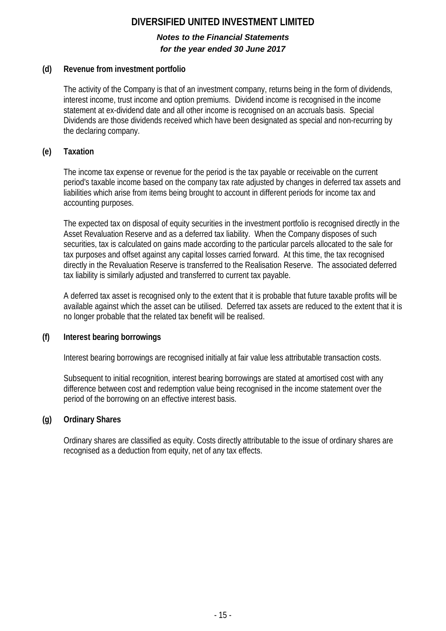# *Notes to the Financial Statements for the year ended 30 June 2017*

# **(d) Revenue from investment portfolio**

The activity of the Company is that of an investment company, returns being in the form of dividends, interest income, trust income and option premiums. Dividend income is recognised in the income statement at ex-dividend date and all other income is recognised on an accruals basis. Special Dividends are those dividends received which have been designated as special and non-recurring by the declaring company.

# **(e) Taxation**

The income tax expense or revenue for the period is the tax payable or receivable on the current period's taxable income based on the company tax rate adjusted by changes in deferred tax assets and liabilities which arise from items being brought to account in different periods for income tax and accounting purposes.

The expected tax on disposal of equity securities in the investment portfolio is recognised directly in the Asset Revaluation Reserve and as a deferred tax liability. When the Company disposes of such securities, tax is calculated on gains made according to the particular parcels allocated to the sale for tax purposes and offset against any capital losses carried forward. At this time, the tax recognised directly in the Revaluation Reserve is transferred to the Realisation Reserve. The associated deferred tax liability is similarly adjusted and transferred to current tax payable.

A deferred tax asset is recognised only to the extent that it is probable that future taxable profits will be available against which the asset can be utilised. Deferred tax assets are reduced to the extent that it is no longer probable that the related tax benefit will be realised.

# **(f) Interest bearing borrowings**

Interest bearing borrowings are recognised initially at fair value less attributable transaction costs.

Subsequent to initial recognition, interest bearing borrowings are stated at amortised cost with any difference between cost and redemption value being recognised in the income statement over the period of the borrowing on an effective interest basis.

# **(g) Ordinary Shares**

Ordinary shares are classified as equity. Costs directly attributable to the issue of ordinary shares are recognised as a deduction from equity, net of any tax effects.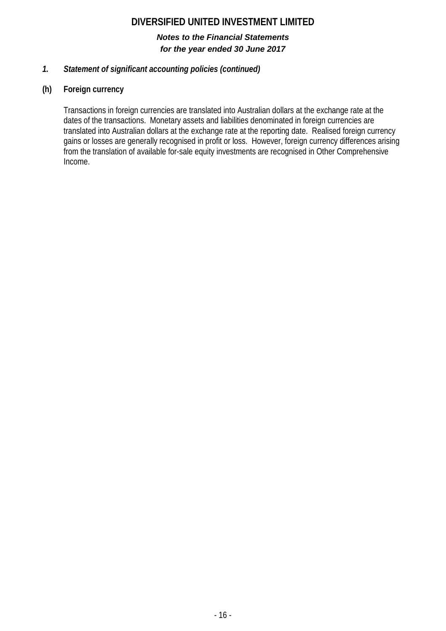# *Notes to the Financial Statements for the year ended 30 June 2017*

# *1. Statement of significant accounting policies (continued)*

# **(h) Foreign currency**

Transactions in foreign currencies are translated into Australian dollars at the exchange rate at the dates of the transactions. Monetary assets and liabilities denominated in foreign currencies are translated into Australian dollars at the exchange rate at the reporting date. Realised foreign currency gains or losses are generally recognised in profit or loss. However, foreign currency differences arising from the translation of available for-sale equity investments are recognised in Other Comprehensive Income.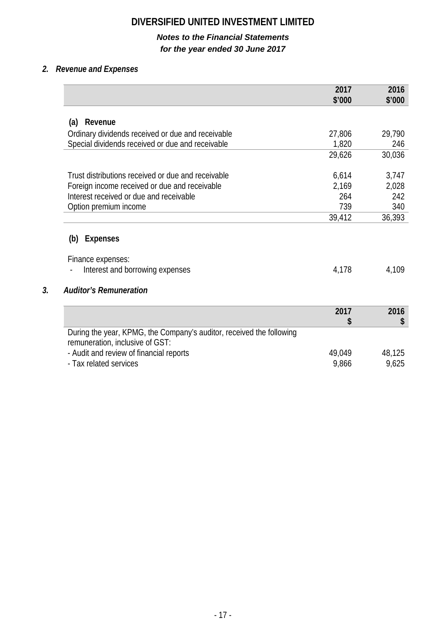# *Notes to the Financial Statements for the year ended 30 June 2017*

# *2. Revenue and Expenses*

|                                                                                                         | 2017<br>\$'000 | 2016<br>\$'000 |
|---------------------------------------------------------------------------------------------------------|----------------|----------------|
|                                                                                                         |                |                |
| Revenue<br>(a)                                                                                          |                |                |
| Ordinary dividends received or due and receivable                                                       | 27,806         | 29,790         |
| Special dividends received or due and receivable                                                        | 1,820          | 246            |
|                                                                                                         | 29,626         | 30,036         |
| Trust distributions received or due and receivable                                                      | 6,614          | 3,747          |
| Foreign income received or due and receivable                                                           | 2,169          | 2,028          |
| Interest received or due and receivable                                                                 | 264            | 242            |
| Option premium income                                                                                   | 739            | 340            |
|                                                                                                         | 39,412         | 36,393         |
| <b>Expenses</b><br>(b)<br>Finance expenses:<br>Interest and borrowing expenses                          | 4,178          | 4,109          |
| <b>Auditor's Remuneration</b>                                                                           |                |                |
|                                                                                                         | 2017           | 2016           |
|                                                                                                         | \$             |                |
| During the year, KPMG, the Company's auditor, received the following<br>remuneration, inclusive of GST: |                |                |
| - Audit and review of financial reports                                                                 | 49,049         | 48,125         |
|                                                                                                         |                |                |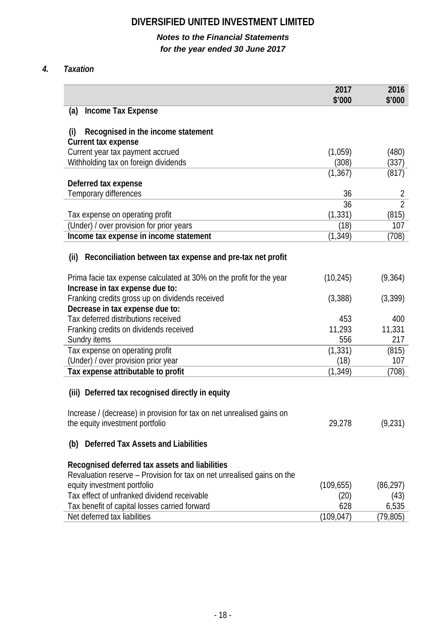# *Notes to the Financial Statements for the year ended 30 June 2017*

# *4. Taxation*

|                                                                                                         | 2017<br>\$'000 | 2016<br>\$'000 |
|---------------------------------------------------------------------------------------------------------|----------------|----------------|
| <b>Income Tax Expense</b><br>(a)                                                                        |                |                |
| (i)<br>Recognised in the income statement                                                               |                |                |
| <b>Current tax expense</b>                                                                              |                |                |
| Current year tax payment accrued                                                                        | (1,059)        | (480)          |
| Withholding tax on foreign dividends                                                                    | (308)          | (337)          |
|                                                                                                         | (1, 367)       | (817)          |
| Deferred tax expense                                                                                    |                |                |
| Temporary differences                                                                                   | 36             | 2              |
|                                                                                                         | 36             | $\overline{2}$ |
| Tax expense on operating profit                                                                         | (1, 331)       | (815)          |
| (Under) / over provision for prior years                                                                | (18)           | 107            |
| Income tax expense in income statement                                                                  | (1, 349)       | (708)          |
| Reconciliation between tax expense and pre-tax net profit<br>(ii)                                       |                |                |
| Prima facie tax expense calculated at 30% on the profit for the year<br>Increase in tax expense due to: | (10, 245)      | (9,364)        |
| Franking credits gross up on dividends received                                                         | (3,388)        | (3,399)        |
| Decrease in tax expense due to:                                                                         |                |                |
| Tax deferred distributions received                                                                     | 453            | 400            |
| Franking credits on dividends received                                                                  | 11,293         | 11,331         |
| Sundry items                                                                                            | 556            | 217            |
| Tax expense on operating profit                                                                         | (1, 331)       | (815)          |
| (Under) / over provision prior year                                                                     | (18)           | 107            |
| Tax expense attributable to profit                                                                      | (1, 349)       | (708)          |
| (iii) Deferred tax recognised directly in equity                                                        |                |                |
| Increase / (decrease) in provision for tax on net unrealised gains on                                   |                |                |
| the equity investment portfolio                                                                         | 29,278         | (9,231)        |
| <b>Deferred Tax Assets and Liabilities</b><br>(b)                                                       |                |                |
| Recognised deferred tax assets and liabilities                                                          |                |                |
| Revaluation reserve – Provision for tax on net unrealised gains on the                                  |                |                |
| equity investment portfolio                                                                             | (109, 655)     | (86, 297)      |
| Tax effect of unfranked dividend receivable                                                             | (20)           | (43)           |
| Tax benefit of capital losses carried forward                                                           | 628            | 6,535          |
| Net deferred tax liabilities                                                                            | (109, 047)     | (79,805)       |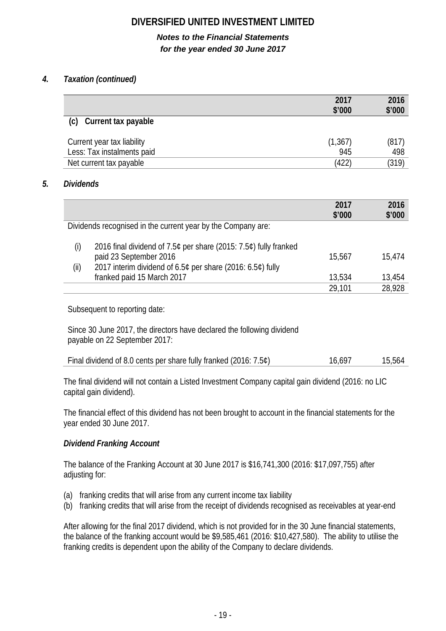# *Notes to the Financial Statements for the year ended 30 June 2017*

# *4. Taxation (continued)*

|                            | 2017<br>\$'000 | 2016<br>\$'000 |
|----------------------------|----------------|----------------|
| (c)<br>Current tax payable |                |                |
| Current year tax liability | (1, 367)       | (817)          |
| Less: Tax instalments paid | 945            | 498            |
| Net current tax payable    | (422)          | (319)          |

### *5. Dividends*

|       |                                                                                            | 2017<br>\$'000 | 2016<br>\$'000 |
|-------|--------------------------------------------------------------------------------------------|----------------|----------------|
|       | Dividends recognised in the current year by the Company are:                               |                |                |
| (i)   | 2016 final dividend of 7.5¢ per share (2015: 7.5¢) fully franked<br>paid 23 September 2016 | 15,567         | 15.474         |
| (iii) | 2017 interim dividend of 6.5¢ per share (2016: 6.5¢) fully                                 |                |                |
|       | franked paid 15 March 2017                                                                 | 13,534         | 13,454         |
|       |                                                                                            | 29,101         | 28.928         |

Subsequent to reporting date:

Since 30 June 2017, the directors have declared the following dividend payable on 22 September 2017:

| Final dividend of 8.0 cents per share fully franked (2016: 7.5¢) | 16,697 | 15,564 |
|------------------------------------------------------------------|--------|--------|
|------------------------------------------------------------------|--------|--------|

The final dividend will not contain a Listed Investment Company capital gain dividend (2016: no LIC capital gain dividend).

The financial effect of this dividend has not been brought to account in the financial statements for the year ended 30 June 2017.

# *Dividend Franking Account*

The balance of the Franking Account at 30 June 2017 is \$16,741,300 (2016: \$17,097,755) after adjusting for:

- (a) franking credits that will arise from any current income tax liability
- (b) franking credits that will arise from the receipt of dividends recognised as receivables at year-end

After allowing for the final 2017 dividend, which is not provided for in the 30 June financial statements, the balance of the franking account would be \$9,585,461 (2016: \$10,427,580). The ability to utilise the franking credits is dependent upon the ability of the Company to declare dividends.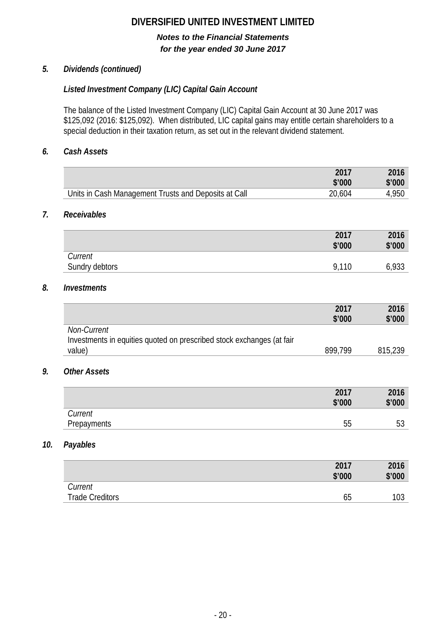# *Notes to the Financial Statements for the year ended 30 June 2017*

# *5. Dividends (continued)*

# *Listed Investment Company (LIC) Capital Gain Account*

The balance of the Listed Investment Company (LIC) Capital Gain Account at 30 June 2017 was \$125,092 (2016: \$125,092). When distributed, LIC capital gains may entitle certain shareholders to a special deduction in their taxation return, as set out in the relevant dividend statement.

## *6. Cash Assets*

*7. Receivables*

|                                                                       | 2017           | 2016           |
|-----------------------------------------------------------------------|----------------|----------------|
|                                                                       | \$'000         | \$'000         |
| Units in Cash Management Trusts and Deposits at Call                  | 20,604         | 4,950          |
| Receivables                                                           |                |                |
|                                                                       | 2017           | 2016           |
|                                                                       | \$'000         | \$'000         |
| Current<br>Sundry debtors                                             | 9,110          | 6,933          |
| <b>Investments</b>                                                    |                |                |
|                                                                       | 2017<br>\$'000 | 2016<br>\$'000 |
| Non-Current                                                           |                |                |
| Investments in equities quoted on prescribed stock exchanges (at fair |                |                |
| value)                                                                | 899,799        | 815,239        |
| <b>Other Assets</b>                                                   |                |                |
|                                                                       | 2017           | 2016           |
|                                                                       | \$'000         | \$'000         |
| Current                                                               |                |                |
| Prepayments                                                           | 55             | 53             |
| Payables                                                              |                |                |
|                                                                       | 2017           | 2016           |
|                                                                       | \$'000         | \$'000         |
| Current                                                               |                |                |

Trade Creditors **65** 103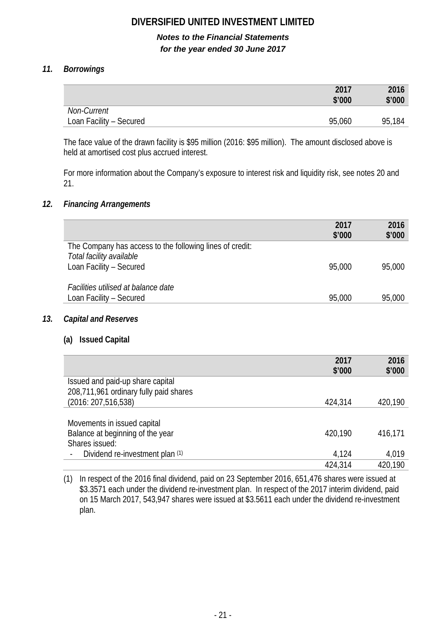# *Notes to the Financial Statements for the year ended 30 June 2017*

# *11. Borrowings*

|                         | 2017<br>\$'000 | 2016<br>\$'000 |
|-------------------------|----------------|----------------|
| Non-Current             |                |                |
| Loan Facility - Secured | 95,060         | 95,184         |

The face value of the drawn facility is \$95 million (2016: \$95 million). The amount disclosed above is held at amortised cost plus accrued interest.

For more information about the Company's exposure to interest risk and liquidity risk, see notes 20 and 21.

### *12. Financing Arrangements*

|                                                          | 2017<br>\$'000 | 2016<br>\$'000 |
|----------------------------------------------------------|----------------|----------------|
| The Company has access to the following lines of credit: |                |                |
| Total facility available<br>Loan Facility - Secured      | 95,000         | 95,000         |
|                                                          |                |                |
| Facilities utilised at balance date                      |                |                |
| Loan Facility - Secured                                  | 95,000         | 95,000         |

#### *13. Capital and Reserves*

# **(a) Issued Capital**

|                                        | 2017    | 2016    |
|----------------------------------------|---------|---------|
|                                        | \$'000  | \$'000  |
| Issued and paid-up share capital       |         |         |
| 208,711,961 ordinary fully paid shares |         |         |
| (2016: 207, 516, 538)                  | 424,314 | 420,190 |
|                                        |         |         |
| Movements in issued capital            |         |         |
| Balance at beginning of the year       | 420,190 | 416,171 |
| Shares issued:                         |         |         |
| Dividend re-investment plan (1)        | 4,124   | 4,019   |
|                                        | 424,314 | 420,190 |

(1) In respect of the 2016 final dividend, paid on 23 September 2016, 651,476 shares were issued at \$3.3571 each under the dividend re-investment plan. In respect of the 2017 interim dividend, paid on 15 March 2017, 543,947 shares were issued at \$3.5611 each under the dividend re-investment plan.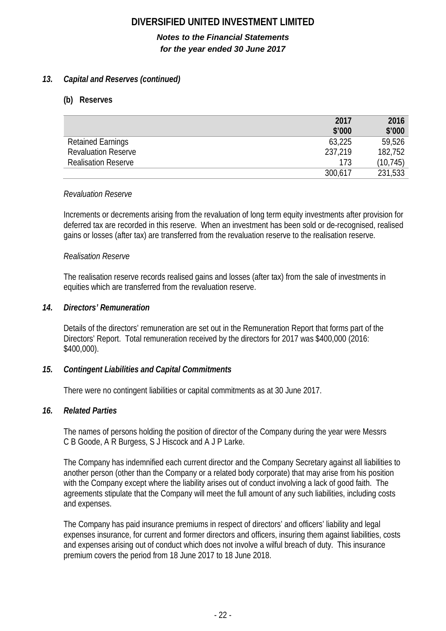# *Notes to the Financial Statements for the year ended 30 June 2017*

# *13. Capital and Reserves (continued)*

### **(b) Reserves**

|                            | 2017    | 2016      |
|----------------------------|---------|-----------|
|                            | \$'000  | \$'000    |
| <b>Retained Earnings</b>   | 63,225  | 59,526    |
| <b>Revaluation Reserve</b> | 237,219 | 182,752   |
| <b>Realisation Reserve</b> | 173     | (10, 745) |
|                            | 300,617 | 231,533   |

#### *Revaluation Reserve*

Increments or decrements arising from the revaluation of long term equity investments after provision for deferred tax are recorded in this reserve. When an investment has been sold or de-recognised, realised gains or losses (after tax) are transferred from the revaluation reserve to the realisation reserve.

#### *Realisation Reserve*

The realisation reserve records realised gains and losses (after tax) from the sale of investments in equities which are transferred from the revaluation reserve.

#### *14. Directors' Remuneration*

Details of the directors' remuneration are set out in the Remuneration Report that forms part of the Directors' Report. Total remuneration received by the directors for 2017 was \$400,000 (2016: \$400,000).

#### *15. Contingent Liabilities and Capital Commitments*

There were no contingent liabilities or capital commitments as at 30 June 2017.

#### *16. Related Parties*

The names of persons holding the position of director of the Company during the year were Messrs C B Goode, A R Burgess, S J Hiscock and A J P Larke.

The Company has indemnified each current director and the Company Secretary against all liabilities to another person (other than the Company or a related body corporate) that may arise from his position with the Company except where the liability arises out of conduct involving a lack of good faith. The agreements stipulate that the Company will meet the full amount of any such liabilities, including costs and expenses.

The Company has paid insurance premiums in respect of directors' and officers' liability and legal expenses insurance, for current and former directors and officers, insuring them against liabilities, costs and expenses arising out of conduct which does not involve a wilful breach of duty. This insurance premium covers the period from 18 June 2017 to 18 June 2018.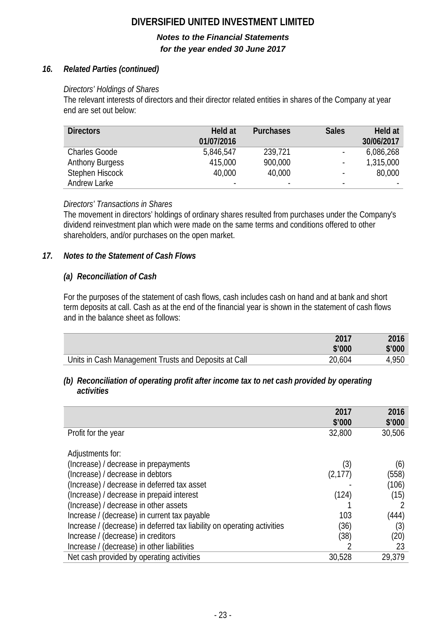# *Notes to the Financial Statements for the year ended 30 June 2017*

# *16. Related Parties (continued)*

# *Directors' Holdings of Shares*

The relevant interests of directors and their director related entities in shares of the Company at year end are set out below:

| <b>Directors</b>       | Held at<br>01/07/2016    | <b>Purchases</b> | <b>Sales</b>             | Held at<br>30/06/2017 |
|------------------------|--------------------------|------------------|--------------------------|-----------------------|
| <b>Charles Goode</b>   | 5,846,547                | 239,721          | $\blacksquare$           | 6,086,268             |
| <b>Anthony Burgess</b> | 415,000                  | 900,000          | $\blacksquare$           | 1,315,000             |
| Stephen Hiscock        | 40,000                   | 40,000           | $\overline{\phantom{0}}$ | 80,000                |
| Andrew Larke           | $\overline{\phantom{a}}$ | $\blacksquare$   | $\blacksquare$           | -                     |

# *Directors' Transactions in Shares*

The movement in directors' holdings of ordinary shares resulted from purchases under the Company's dividend reinvestment plan which were made on the same terms and conditions offered to other shareholders, and/or purchases on the open market.

# *17. Notes to the Statement of Cash Flows*

# *(a) Reconciliation of Cash*

For the purposes of the statement of cash flows, cash includes cash on hand and at bank and short term deposits at call. Cash as at the end of the financial year is shown in the statement of cash flows and in the balance sheet as follows:

|                                                      | 2017   | 2016   |
|------------------------------------------------------|--------|--------|
|                                                      | \$'000 | \$'000 |
| Units in Cash Management Trusts and Deposits at Call | 20,604 | 4,950  |

### *(b) Reconciliation of operating profit after income tax to net cash provided by operating activities*

|                                                                         | 2017<br>\$'000 | 2016<br>\$'000 |
|-------------------------------------------------------------------------|----------------|----------------|
| Profit for the year                                                     | 32,800         | 30,506         |
| Adjustments for:                                                        |                |                |
| (Increase) / decrease in prepayments                                    | (3)            | (6)            |
| (Increase) / decrease in debtors                                        | (2, 177)       | (558)          |
| (Increase) / decrease in deferred tax asset                             |                | (106)          |
| (Increase) / decrease in prepaid interest                               | (124)          | (15)           |
| (Increase) / decrease in other assets                                   |                |                |
| Increase / (decrease) in current tax payable                            | 103            | (444)          |
| Increase / (decrease) in deferred tax liability on operating activities | (36)           | (3)            |
| Increase / (decrease) in creditors                                      | (38)           | (20)           |
| Increase / (decrease) in other liabilities                              |                | 23             |
| Net cash provided by operating activities                               | 30,528         | 29,379         |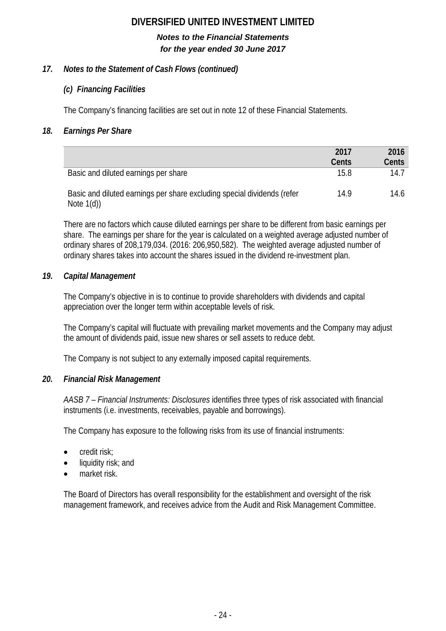# *Notes to the Financial Statements for the year ended 30 June 2017*

# *17. Notes to the Statement of Cash Flows (continued)*

# *(c) Financing Facilities*

The Company's financing facilities are set out in note 12 of these Financial Statements.

# *18. Earnings Per Share*

|                                                                                          | 2017  | 2016  |
|------------------------------------------------------------------------------------------|-------|-------|
|                                                                                          | Cents | Cents |
| Basic and diluted earnings per share                                                     | 15.8  | 14.7  |
| Basic and diluted earnings per share excluding special dividends (refer<br>Note $1(d)$ ) | 14.9  | 14.6  |

There are no factors which cause diluted earnings per share to be different from basic earnings per share. The earnings per share for the year is calculated on a weighted average adjusted number of ordinary shares of 208,179,034. (2016: 206,950,582). The weighted average adjusted number of ordinary shares takes into account the shares issued in the dividend re-investment plan.

# *19. Capital Management*

The Company's objective in is to continue to provide shareholders with dividends and capital appreciation over the longer term within acceptable levels of risk.

The Company's capital will fluctuate with prevailing market movements and the Company may adjust the amount of dividends paid, issue new shares or sell assets to reduce debt.

The Company is not subject to any externally imposed capital requirements.

# *20. Financial Risk Management*

*AASB 7 – Financial Instruments: Disclosures* identifies three types of risk associated with financial instruments (i.e. investments, receivables, payable and borrowings).

The Company has exposure to the following risks from its use of financial instruments:

- credit risk;
- liquidity risk; and
- market risk.

The Board of Directors has overall responsibility for the establishment and oversight of the risk management framework, and receives advice from the Audit and Risk Management Committee.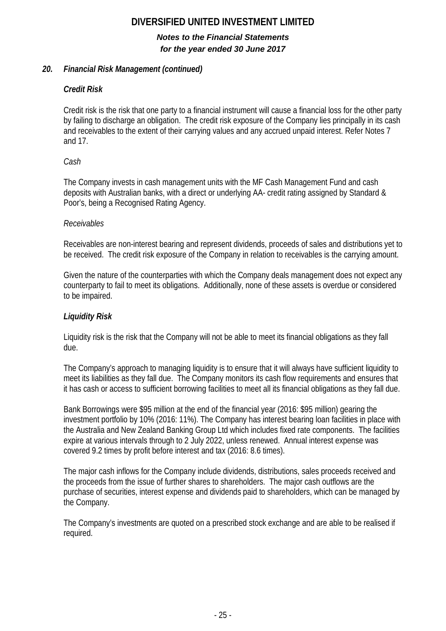# *Notes to the Financial Statements for the year ended 30 June 2017*

# *20. Financial Risk Management (continued)*

# *Credit Risk*

Credit risk is the risk that one party to a financial instrument will cause a financial loss for the other party by failing to discharge an obligation. The credit risk exposure of the Company lies principally in its cash and receivables to the extent of their carrying values and any accrued unpaid interest. Refer Notes 7 and 17.

# *Cash*

The Company invests in cash management units with the MF Cash Management Fund and cash deposits with Australian banks, with a direct or underlying AA- credit rating assigned by Standard & Poor's, being a Recognised Rating Agency.

# *Receivables*

Receivables are non-interest bearing and represent dividends, proceeds of sales and distributions yet to be received. The credit risk exposure of the Company in relation to receivables is the carrying amount.

Given the nature of the counterparties with which the Company deals management does not expect any counterparty to fail to meet its obligations. Additionally, none of these assets is overdue or considered to be impaired.

# *Liquidity Risk*

Liquidity risk is the risk that the Company will not be able to meet its financial obligations as they fall due.

The Company's approach to managing liquidity is to ensure that it will always have sufficient liquidity to meet its liabilities as they fall due. The Company monitors its cash flow requirements and ensures that it has cash or access to sufficient borrowing facilities to meet all its financial obligations as they fall due.

Bank Borrowings were \$95 million at the end of the financial year (2016: \$95 million) gearing the investment portfolio by 10% (2016: 11%). The Company has interest bearing loan facilities in place with the Australia and New Zealand Banking Group Ltd which includes fixed rate components. The facilities expire at various intervals through to 2 July 2022, unless renewed. Annual interest expense was covered 9.2 times by profit before interest and tax (2016: 8.6 times).

The major cash inflows for the Company include dividends, distributions, sales proceeds received and the proceeds from the issue of further shares to shareholders. The major cash outflows are the purchase of securities, interest expense and dividends paid to shareholders, which can be managed by the Company.

The Company's investments are quoted on a prescribed stock exchange and are able to be realised if required.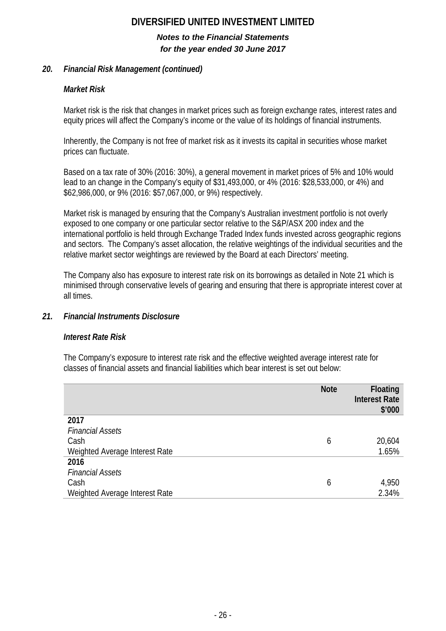# *Notes to the Financial Statements for the year ended 30 June 2017*

# *20. Financial Risk Management (continued)*

# *Market Risk*

Market risk is the risk that changes in market prices such as foreign exchange rates, interest rates and equity prices will affect the Company's income or the value of its holdings of financial instruments.

Inherently, the Company is not free of market risk as it invests its capital in securities whose market prices can fluctuate.

Based on a tax rate of 30% (2016: 30%), a general movement in market prices of 5% and 10% would lead to an change in the Company's equity of \$31,493,000, or 4% (2016: \$28,533,000, or 4%) and \$62,986,000, or 9% (2016: \$57,067,000, or 9%) respectively.

Market risk is managed by ensuring that the Company's Australian investment portfolio is not overly exposed to one company or one particular sector relative to the S&P/ASX 200 index and the international portfolio is held through Exchange Traded Index funds invested across geographic regions and sectors. The Company's asset allocation, the relative weightings of the individual securities and the relative market sector weightings are reviewed by the Board at each Directors' meeting.

The Company also has exposure to interest rate risk on its borrowings as detailed in Note 21 which is minimised through conservative levels of gearing and ensuring that there is appropriate interest cover at all times.

# *21. Financial Instruments Disclosure*

# *Interest Rate Risk*

The Company's exposure to interest rate risk and the effective weighted average interest rate for classes of financial assets and financial liabilities which bear interest is set out below:

|                                | <b>Note</b> | <b>Floating</b><br><b>Interest Rate</b><br>\$'000 |
|--------------------------------|-------------|---------------------------------------------------|
| 2017                           |             |                                                   |
| <b>Financial Assets</b>        |             |                                                   |
| Cash                           | 6           | 20,604                                            |
| Weighted Average Interest Rate |             | 1.65%                                             |
| 2016                           |             |                                                   |
| <b>Financial Assets</b>        |             |                                                   |
| Cash                           | 6           | 4,950                                             |
| Weighted Average Interest Rate |             | 2.34%                                             |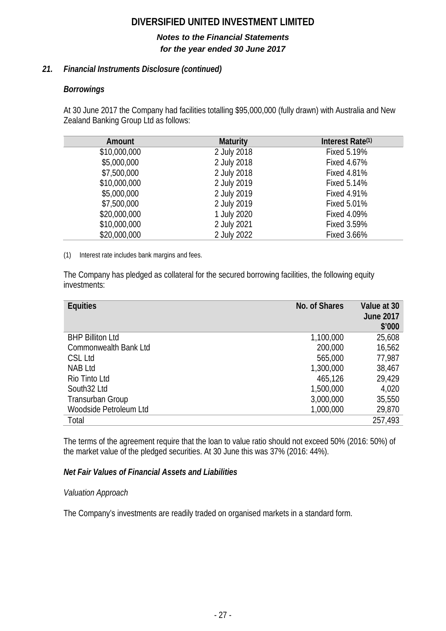# *Notes to the Financial Statements for the year ended 30 June 2017*

# *21. Financial Instruments Disclosure (continued)*

# *Borrowings*

At 30 June 2017 the Company had facilities totalling \$95,000,000 (fully drawn) with Australia and New Zealand Banking Group Ltd as follows:

| Amount       | <b>Maturity</b> | Interest Rate <sup>(1)</sup> |
|--------------|-----------------|------------------------------|
| \$10,000,000 | 2 July 2018     | <b>Fixed 5.19%</b>           |
| \$5,000,000  | 2 July 2018     | Fixed 4.67%                  |
| \$7,500,000  | 2 July 2018     | <b>Fixed 4.81%</b>           |
| \$10,000,000 | 2 July 2019     | <b>Fixed 5.14%</b>           |
| \$5,000,000  | 2 July 2019     | <b>Fixed 4.91%</b>           |
| \$7,500,000  | 2 July 2019     | <b>Fixed 5.01%</b>           |
| \$20,000,000 | 1 July 2020     | Fixed 4.09%                  |
| \$10,000,000 | 2 July 2021     | <b>Fixed 3.59%</b>           |
| \$20,000,000 | 2 July 2022     | Fixed 3.66%                  |

(1) Interest rate includes bank margins and fees.

The Company has pledged as collateral for the secured borrowing facilities, the following equity investments:

| <b>Equities</b>              | No. of Shares | Value at 30<br><b>June 2017</b><br>\$'000 |
|------------------------------|---------------|-------------------------------------------|
| <b>BHP Billiton Ltd</b>      | 1,100,000     | 25,608                                    |
| <b>Commonwealth Bank Ltd</b> | 200,000       | 16,562                                    |
| CSL Ltd                      | 565,000       | 77,987                                    |
| <b>NAB Ltd</b>               | 1,300,000     | 38,467                                    |
| Rio Tinto Ltd                | 465,126       | 29,429                                    |
| South32 Ltd                  | 1,500,000     | 4,020                                     |
| <b>Transurban Group</b>      | 3,000,000     | 35,550                                    |
| Woodside Petroleum Ltd       | 1,000,000     | 29,870                                    |
| Total                        |               | 257,493                                   |
|                              |               |                                           |

The terms of the agreement require that the loan to value ratio should not exceed 50% (2016: 50%) of the market value of the pledged securities. At 30 June this was 37% (2016: 44%).

# *Net Fair Values of Financial Assets and Liabilities*

# *Valuation Approach*

The Company's investments are readily traded on organised markets in a standard form.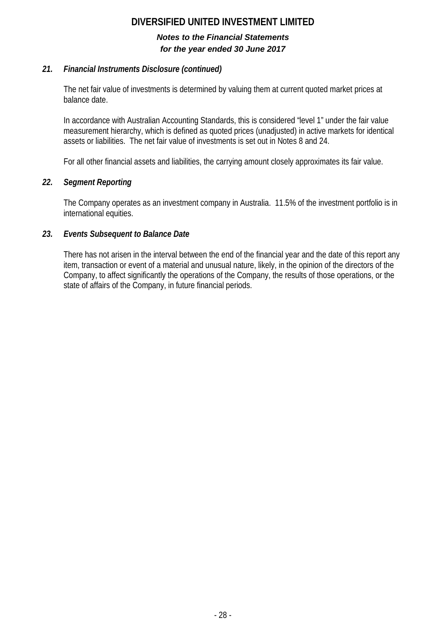# *Notes to the Financial Statements for the year ended 30 June 2017*

# *21. Financial Instruments Disclosure (continued)*

The net fair value of investments is determined by valuing them at current quoted market prices at balance date.

In accordance with Australian Accounting Standards, this is considered "level 1" under the fair value measurement hierarchy, which is defined as quoted prices (unadjusted) in active markets for identical assets or liabilities. The net fair value of investments is set out in Notes 8 and 24.

For all other financial assets and liabilities, the carrying amount closely approximates its fair value.

# *22. Segment Reporting*

The Company operates as an investment company in Australia. 11.5% of the investment portfolio is in international equities.

# *23. Events Subsequent to Balance Date*

There has not arisen in the interval between the end of the financial year and the date of this report any item, transaction or event of a material and unusual nature, likely, in the opinion of the directors of the Company, to affect significantly the operations of the Company, the results of those operations, or the state of affairs of the Company, in future financial periods.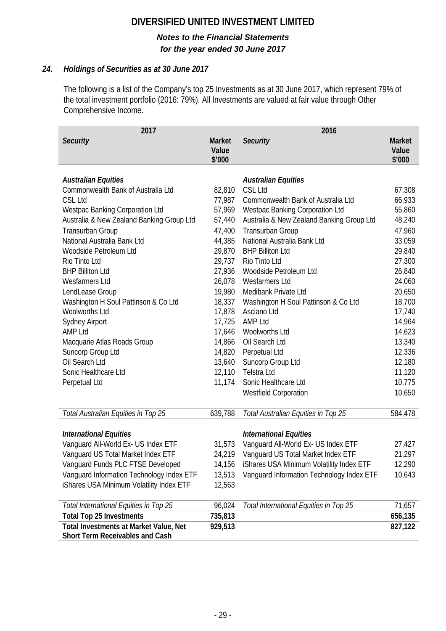# *Notes to the Financial Statements for the year ended 30 June 2017*

# *24. Holdings of Securities as at 30 June 2017*

The following is a list of the Company's top 25 Investments as at 30 June 2017, which represent 79% of the total investment portfolio (2016: 79%). All Investments are valued at fair value through Other Comprehensive Income.

| 2017                                      |                                  | 2016                                      |                                  |
|-------------------------------------------|----------------------------------|-------------------------------------------|----------------------------------|
| <b>Security</b>                           | <b>Market</b><br>Value<br>\$'000 | <b>Security</b>                           | <b>Market</b><br>Value<br>\$'000 |
|                                           |                                  |                                           |                                  |
| <b>Australian Equities</b>                |                                  | <b>Australian Equities</b>                |                                  |
| Commonwealth Bank of Australia Ltd        | 82,810                           | <b>CSL Ltd</b>                            | 67,308                           |
| <b>CSL Ltd</b>                            | 77,987                           | Commonwealth Bank of Australia Ltd        | 66,933                           |
| <b>Westpac Banking Corporation Ltd</b>    | 57,969                           | Westpac Banking Corporation Ltd           | 55,860                           |
| Australia & New Zealand Banking Group Ltd | 57,440                           | Australia & New Zealand Banking Group Ltd | 48,240                           |
| Transurban Group                          | 47,400                           | Transurban Group                          | 47,960                           |
| National Australia Bank Ltd               | 44,385                           | National Australia Bank Ltd               | 33,059                           |
| Woodside Petroleum Ltd                    | 29,870                           | <b>BHP Billiton Ltd</b>                   | 29,840                           |
| Rio Tinto Ltd                             | 29,737                           | Rio Tinto Ltd                             | 27,300                           |
| <b>BHP Billiton Ltd</b>                   | 27,936                           | Woodside Petroleum Ltd                    | 26,840                           |
| Wesfarmers Ltd                            | 26,078                           | Wesfarmers Ltd                            | 24,060                           |
| LendLease Group                           | 19,980                           | Medibank Private Ltd                      | 20,650                           |
| Washington H Soul Pattinson & Co Ltd      | 18,337                           | Washington H Soul Pattinson & Co Ltd      | 18,700                           |
| <b>Woolworths Ltd</b>                     | 17,878                           | Asciano Ltd                               | 17,740                           |
| <b>Sydney Airport</b>                     | 17,725                           | <b>AMP Ltd</b>                            | 14,964                           |
| <b>AMP Ltd</b>                            | 17,646                           | Woolworths Ltd                            | 14,623                           |
| Macquarie Atlas Roads Group               | 14,866                           | Oil Search Ltd                            | 13,340                           |
| Suncorp Group Ltd                         | 14,820                           | Perpetual Ltd                             | 12,336                           |
| Oil Search Ltd                            | 13,640                           | Suncorp Group Ltd                         | 12,180                           |
| Sonic Healthcare Ltd                      | 12,110                           | <b>Telstra Ltd</b>                        | 11,120                           |
| Perpetual Ltd                             | 11,174                           | Sonic Healthcare Ltd                      | 10,775                           |
|                                           |                                  | <b>Westfield Corporation</b>              | 10,650                           |
| Total Australian Equities in Top 25       | 639,788                          | Total Australian Equities in Top 25       | 584,478                          |
|                                           |                                  |                                           |                                  |
| <b>International Equities</b>             |                                  | <b>International Equities</b>             |                                  |
| Vanquard All-World Ex- US Index ETF       | 31,573                           | Vanguard All-World Ex- US Index ETF       | 27,427                           |
| Vanguard US Total Market Index ETF        | 24,219                           | Vanguard US Total Market Index ETF        | 21,297                           |
| Vanguard Funds PLC FTSE Developed         | 14,156                           | iShares USA Minimum Volatility Index ETF  | 12,290                           |
| Vanguard Information Technology Index ETF | 13,513                           | Vanguard Information Technology Index ETF | 10,643                           |
| iShares USA Minimum Volatility Index ETF  | 12,563                           |                                           |                                  |
| Total International Equities in Top 25    | 96,024                           | Total International Equities in Top 25    | 71,657                           |
| <b>Total Top 25 Investments</b>           | 735,813                          |                                           | 656,135                          |
| Total Investments at Market Value, Net    | 929,513                          |                                           | 827,122                          |
| Short Term Receivables and Cash           |                                  |                                           |                                  |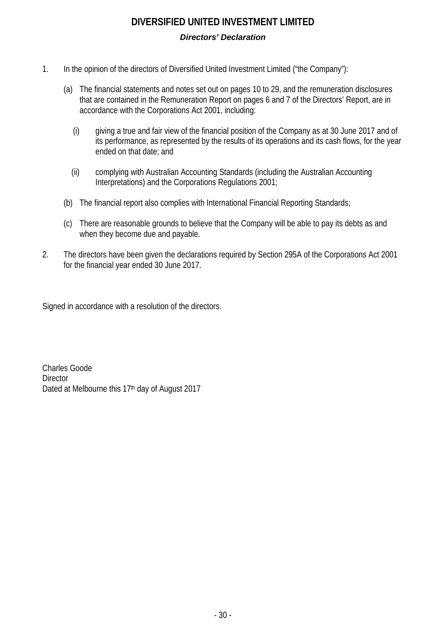# **DIVERSIFIED UNITED INVESTMENT LIMITED** *Directors' Declaration*

- 1. In the opinion of the directors of Diversified United Investment Limited ("the Company"):
	- (a) The financial statements and notes set out on pages 10 to 29, and the remuneration disclosures that are contained in the Remuneration Report on pages 6 and 7 of the Directors' Report, are in accordance with the Corporations Act 2001, including:
		- (i) giving a true and fair view of the financial position of the Company as at 30 June 2017 and of its performance, as represented by the results of its operations and its cash flows, for the year ended on that date; and
		- (ii) complying with Australian Accounting Standards (including the Australian Accounting Interpretations) and the Corporations Regulations 2001;
	- (b) The financial report also complies with International Financial Reporting Standards;
	- (c) There are reasonable grounds to believe that the Company will be able to pay its debts as and when they become due and payable.
- 2. The directors have been given the declarations required by Section 295A of the Corporations Act 2001 for the financial year ended 30 June 2017.

Signed in accordance with a resolution of the directors.

Charles Goode **Director** Dated at Melbourne this 17<sup>th</sup> day of August 2017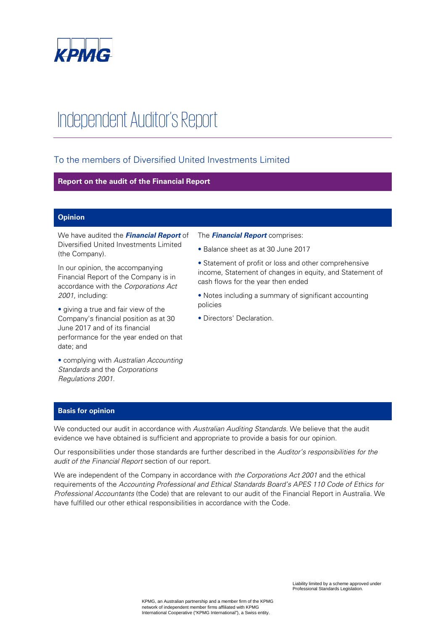

# Independent Auditor's Report

# To the members of Diversified United Investments Limited

#### **Report on the audit of the Financial Report**

#### **Opinion**

We have audited the **Financial Report** of Diversified United Investments Limited (the Company).

In our opinion, the accompanying Financial Report of the Company is in accordance with the Corporations Act 2001, including:

• giving a true and fair view of the Company's financial position as at 30 June 2017 and of its financial performance for the year ended on that date; and

• complying with Australian Accounting Standards and the Corporations Regulations 2001.

#### The **Financial Report** comprises:

• Balance sheet as at 30 June 2017

• Statement of profit or loss and other comprehensive income, Statement of changes in equity, and Statement of cash flows for the year then ended

• Notes including a summary of significant accounting policies

• Directors' Declaration.

#### **Basis for opinion**

We conducted our audit in accordance with Australian Auditing Standards. We believe that the audit evidence we have obtained is sufficient and appropriate to provide a basis for our opinion.

Our responsibilities under those standards are further described in the Auditor's responsibilities for the audit of the Financial Report section of our report.

We are independent of the Company in accordance with the Corporations Act 2001 and the ethical requirements of the Accounting Professional and Ethical Standards Board's APES 110 Code of Ethics for Professional Accountants (the Code) that are relevant to our audit of the Financial Report in Australia. We have fulfilled our other ethical responsibilities in accordance with the Code.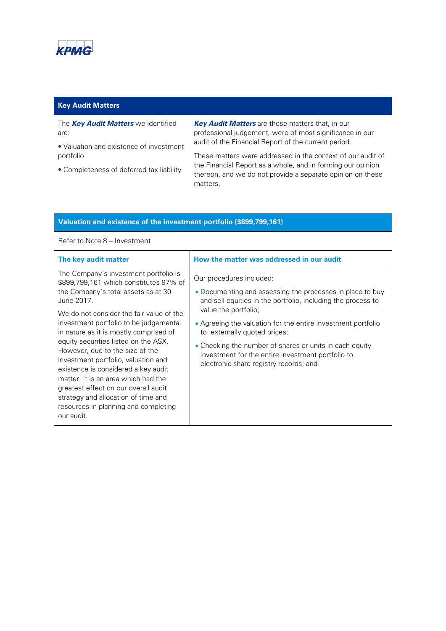

## **Key Audit Matters**

The **Key Audit Matters** we identified are:

• Valuation and existence of investment portfolio

• Completeness of deferred tax liability

**Key Audit Matters** are those matters that, in our professional judgement, were of most significance in our audit of the Financial Report of the current period.

These matters were addressed in the context of our audit of the Financial Report as a whole, and in forming our opinion thereon, and we do not provide a separate opinion on these matters.

| Valuation and existence of the investment portfolio (\$899,799,161)                                                                                                                                                                                                                                                                                                                                                                                                                                                                                                                                       |                                                                                                                                                                                                                                                                                                                                                                                                                                         |  |  |
|-----------------------------------------------------------------------------------------------------------------------------------------------------------------------------------------------------------------------------------------------------------------------------------------------------------------------------------------------------------------------------------------------------------------------------------------------------------------------------------------------------------------------------------------------------------------------------------------------------------|-----------------------------------------------------------------------------------------------------------------------------------------------------------------------------------------------------------------------------------------------------------------------------------------------------------------------------------------------------------------------------------------------------------------------------------------|--|--|
| Refer to Note 8 – Investment                                                                                                                                                                                                                                                                                                                                                                                                                                                                                                                                                                              |                                                                                                                                                                                                                                                                                                                                                                                                                                         |  |  |
| The key audit matter                                                                                                                                                                                                                                                                                                                                                                                                                                                                                                                                                                                      | How the matter was addressed in our audit                                                                                                                                                                                                                                                                                                                                                                                               |  |  |
| The Company's investment portfolio is<br>\$899,799,161 which constitutes 97% of<br>the Company's total assets as at 30<br>June 2017.<br>We do not consider the fair value of the<br>investment portfolio to be judgemental<br>in nature as it is mostly comprised of<br>equity securities listed on the ASX.<br>However, due to the size of the<br>investment portfolio, valuation and<br>existence is considered a key audit<br>matter. It is an area which had the<br>greatest effect on our overall audit<br>strategy and allocation of time and<br>resources in planning and completing<br>our audit. | Our procedures included:<br>• Documenting and assessing the processes in place to buy<br>and sell equities in the portfolio, including the process to<br>value the portfolio;<br>• Agreeing the valuation for the entire investment portfolio<br>to externally quoted prices;<br>• Checking the number of shares or units in each equity<br>investment for the entire investment portfolio to<br>electronic share registry records; and |  |  |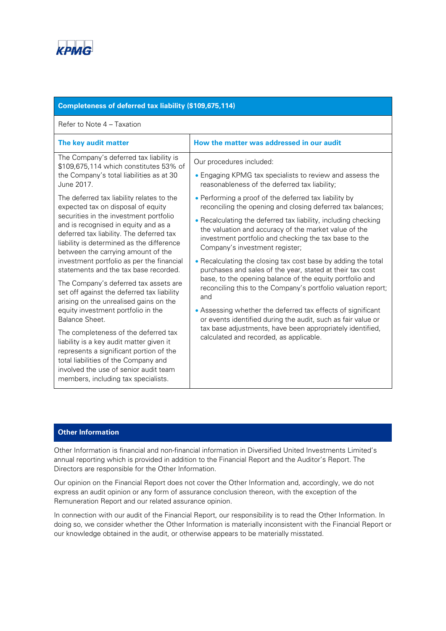

### **Completeness of deferred tax liability (\$109,675,114)**

#### Refer to Note 4 – Taxation

| The key audit matter                                                                                                                                                                                                                                                                                                                                                                                                                                                                                                                                                                                                                                                                                                                                                                                                                   | How the matter was addressed in our audit                                                                                                                                                                                                                                                                                                                                                                                                                                                                                                                                                                                                                                                                                                                                                                                                          |
|----------------------------------------------------------------------------------------------------------------------------------------------------------------------------------------------------------------------------------------------------------------------------------------------------------------------------------------------------------------------------------------------------------------------------------------------------------------------------------------------------------------------------------------------------------------------------------------------------------------------------------------------------------------------------------------------------------------------------------------------------------------------------------------------------------------------------------------|----------------------------------------------------------------------------------------------------------------------------------------------------------------------------------------------------------------------------------------------------------------------------------------------------------------------------------------------------------------------------------------------------------------------------------------------------------------------------------------------------------------------------------------------------------------------------------------------------------------------------------------------------------------------------------------------------------------------------------------------------------------------------------------------------------------------------------------------------|
| The Company's deferred tax liability is<br>\$109,675,114 which constitutes 53% of<br>the Company's total liabilities as at 30<br>June 2017.                                                                                                                                                                                                                                                                                                                                                                                                                                                                                                                                                                                                                                                                                            | Our procedures included:<br>• Engaging KPMG tax specialists to review and assess the<br>reasonableness of the deferred tax liability;                                                                                                                                                                                                                                                                                                                                                                                                                                                                                                                                                                                                                                                                                                              |
| The deferred tax liability relates to the<br>expected tax on disposal of equity<br>securities in the investment portfolio<br>and is recognised in equity and as a<br>deferred tax liability. The deferred tax<br>liability is determined as the difference<br>between the carrying amount of the<br>investment portfolio as per the financial<br>statements and the tax base recorded.<br>The Company's deferred tax assets are<br>set off against the deferred tax liability<br>arising on the unrealised gains on the<br>equity investment portfolio in the<br>Balance Sheet.<br>The completeness of the deferred tax<br>liability is a key audit matter given it<br>represents a significant portion of the<br>total liabilities of the Company and<br>involved the use of senior audit team<br>members, including tax specialists. | • Performing a proof of the deferred tax liability by<br>reconciling the opening and closing deferred tax balances;<br>• Recalculating the deferred tax liability, including checking<br>the valuation and accuracy of the market value of the<br>investment portfolio and checking the tax base to the<br>Company's investment register;<br>• Recalculating the closing tax cost base by adding the total<br>purchases and sales of the year, stated at their tax cost<br>base, to the opening balance of the equity portfolio and<br>reconciling this to the Company's portfolio valuation report;<br>and<br>• Assessing whether the deferred tax effects of significant<br>or events identified during the audit, such as fair value or<br>tax base adjustments, have been appropriately identified,<br>calculated and recorded, as applicable. |

#### **Other Information**

Other Information is financial and non-financial information in Diversified United Investments Limited's annual reporting which is provided in addition to the Financial Report and the Auditor's Report. The Directors are responsible for the Other Information.

Our opinion on the Financial Report does not cover the Other Information and, accordingly, we do not express an audit opinion or any form of assurance conclusion thereon, with the exception of the Remuneration Report and our related assurance opinion.

In connection with our audit of the Financial Report, our responsibility is to read the Other Information. In doing so, we consider whether the Other Information is materially inconsistent with the Financial Report or our knowledge obtained in the audit, or otherwise appears to be materially misstated.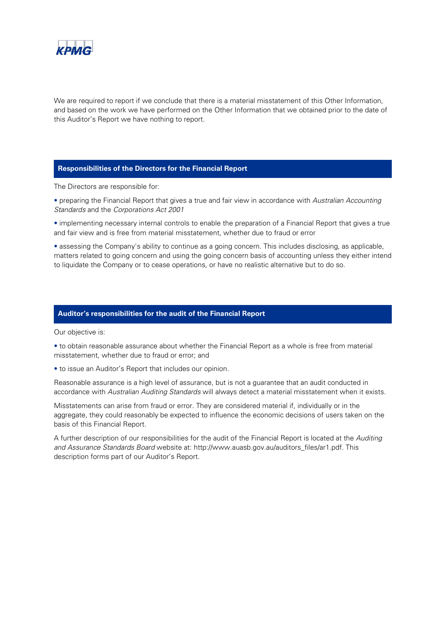

We are required to report if we conclude that there is a material misstatement of this Other Information, and based on the work we have performed on the Other Information that we obtained prior to the date of this Auditor's Report we have nothing to report.

#### **Responsibilities of the Directors for the Financial Report**

The Directors are responsible for:

• preparing the Financial Report that gives a true and fair view in accordance with Australian Accounting Standards and the Corporations Act 2001

• implementing necessary internal controls to enable the preparation of a Financial Report that gives a true and fair view and is free from material misstatement, whether due to fraud or error

• assessing the Company's ability to continue as a going concern. This includes disclosing, as applicable, matters related to going concern and using the going concern basis of accounting unless they either intend to liquidate the Company or to cease operations, or have no realistic alternative but to do so.

#### **Auditor's responsibilities for the audit of the Financial Report**

Our objective is:

• to obtain reasonable assurance about whether the Financial Report as a whole is free from material misstatement, whether due to fraud or error; and

• to issue an Auditor's Report that includes our opinion.

Reasonable assurance is a high level of assurance, but is not a guarantee that an audit conducted in accordance with Australian Auditing Standards will always detect a material misstatement when it exists.

Misstatements can arise from fraud or error. They are considered material if, individually or in the aggregate, they could reasonably be expected to influence the economic decisions of users taken on the basis of this Financial Report.

A further description of our responsibilities for the audit of the Financial Report is located at the Auditing and Assurance Standards Board website at: http://www.auasb.gov.au/auditors\_files/ar1.pdf. This description forms part of our Auditor's Report.